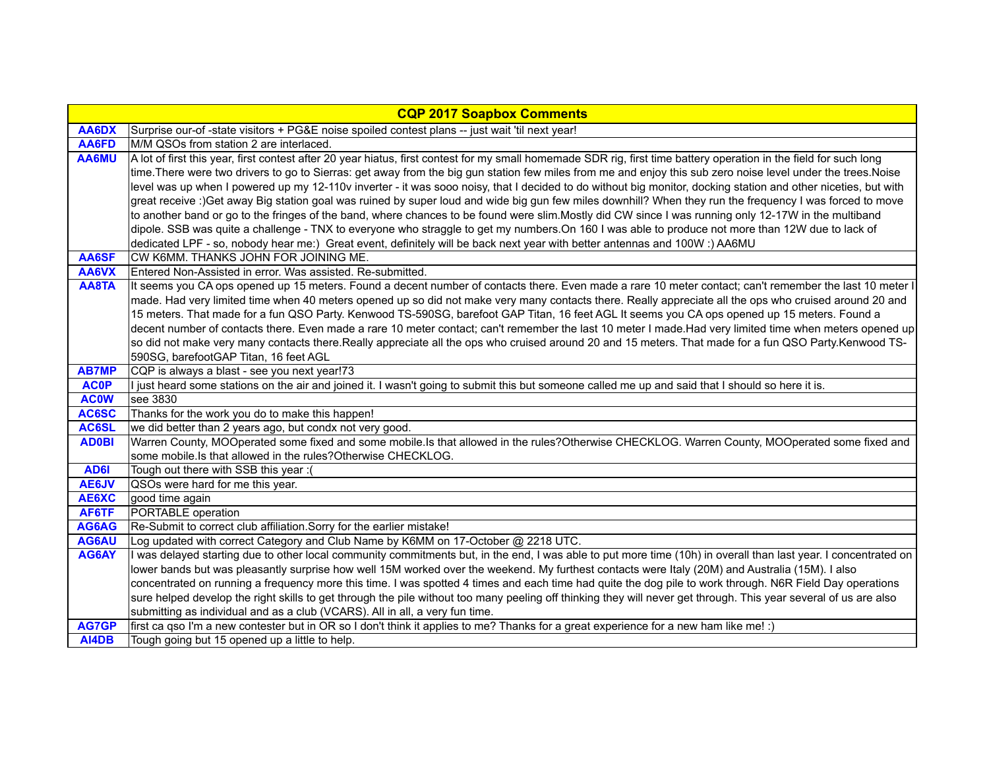|                | <b>CQP 2017 Soapbox Comments</b>                                                                                                                                                                               |
|----------------|----------------------------------------------------------------------------------------------------------------------------------------------------------------------------------------------------------------|
| AA6DX          | Surprise our-of-state visitors + PG&E noise spoiled contest plans -- just wait 'til next year!                                                                                                                 |
| AA6FD          | M/M QSOs from station 2 are interlaced.                                                                                                                                                                        |
| AA6MU          | A lot of first this year, first contest after 20 year hiatus, first contest for my small homemade SDR rig, first time battery operation in the field for such long                                             |
|                | time. There were two drivers to go to Sierras: get away from the big gun station few miles from me and enjoy this sub zero noise level under the trees. Noise                                                  |
|                | level was up when I powered up my 12-110v inverter - it was sooo noisy, that I decided to do without big monitor, docking station and other niceties, but with                                                 |
|                | great receive :)Get away Big station goal was ruined by super loud and wide big gun few miles downhill? When they run the frequency I was forced to move                                                       |
|                | to another band or go to the fringes of the band, where chances to be found were slim. Mostly did CW since I was running only 12-17W in the multiband                                                          |
|                | dipole. SSB was quite a challenge - TNX to everyone who straggle to get my numbers.On 160 I was able to produce not more than 12W due to lack of                                                               |
|                | dedicated LPF - so, nobody hear me:) Great event, definitely will be back next year with better antennas and 100W :) AA6MU                                                                                     |
| AA6SF          | CW K6MM. THANKS JOHN FOR JOINING ME.                                                                                                                                                                           |
| AA6VX          | Entered Non-Assisted in error. Was assisted. Re-submitted.                                                                                                                                                     |
| AA8TA          | It seems you CA ops opened up 15 meters. Found a decent number of contacts there. Even made a rare 10 meter contact; can't remember the last 10 meter I                                                        |
|                | made. Had very limited time when 40 meters opened up so did not make very many contacts there. Really appreciate all the ops who cruised around 20 and                                                         |
|                | 15 meters. That made for a fun QSO Party. Kenwood TS-590SG, barefoot GAP Titan, 16 feet AGL It seems you CA ops opened up 15 meters. Found a                                                                   |
|                | decent number of contacts there. Even made a rare 10 meter contact; can't remember the last 10 meter I made.Had very limited time when meters opened up                                                        |
|                | so did not make very many contacts there.Really appreciate all the ops who cruised around 20 and 15 meters. That made for a fun QSO Party.Kenwood TS-                                                          |
|                | 590SG, barefootGAP Titan, 16 feet AGL                                                                                                                                                                          |
| <b>AB7MP</b>   | CQP is always a blast - see you next year!73                                                                                                                                                                   |
| <b>AC0P</b>    | I just heard some stations on the air and joined it. I wasn't going to submit this but someone called me up and said that I should so here it is.                                                              |
| <b>AC0W</b>    | see 3830                                                                                                                                                                                                       |
| AC6SC          | Thanks for the work you do to make this happen!                                                                                                                                                                |
| AC6SL          | we did better than 2 years ago, but condx not very good.                                                                                                                                                       |
| <b>AD0BI</b>   | Warren County, MOOperated some fixed and some mobile.Is that allowed in the rules?Otherwise CHECKLOG. Warren County, MOOperated some fixed and<br>some mobile.Is that allowed in the rules?Otherwise CHECKLOG. |
|                | Tough out there with SSB this year :(                                                                                                                                                                          |
| AD6I           | QSOs were hard for me this year.                                                                                                                                                                               |
| AE6JV<br>AE6XC | good time again                                                                                                                                                                                                |
| AF6TF          | PORTABLE operation                                                                                                                                                                                             |
| AG6AG          | Re-Submit to correct club affiliation. Sorry for the earlier mistake!                                                                                                                                          |
| <b>AG6AU</b>   | Log updated with correct Category and Club Name by K6MM on 17-October @ 2218 UTC.                                                                                                                              |
| AG6AY          | I was delayed starting due to other local community commitments but, in the end, I was able to put more time (10h) in overall than last year. I concentrated on                                                |
|                | lower bands but was pleasantly surprise how well 15M worked over the weekend. My furthest contacts were Italy (20M) and Australia (15M). I also                                                                |
|                | concentrated on running a frequency more this time. I was spotted 4 times and each time had quite the dog pile to work through. N6R Field Day operations                                                       |
|                | sure helped develop the right skills to get through the pile without too many peeling off thinking they will never get through. This year several of us are also                                               |
|                | submitting as individual and as a club (VCARS). All in all, a very fun time.                                                                                                                                   |
| AG7GP          | first ca qso I'm a new contester but in OR so I don't think it applies to me? Thanks for a great experience for a new ham like me! :)                                                                          |
| AI4DB          | Tough going but 15 opened up a little to help.                                                                                                                                                                 |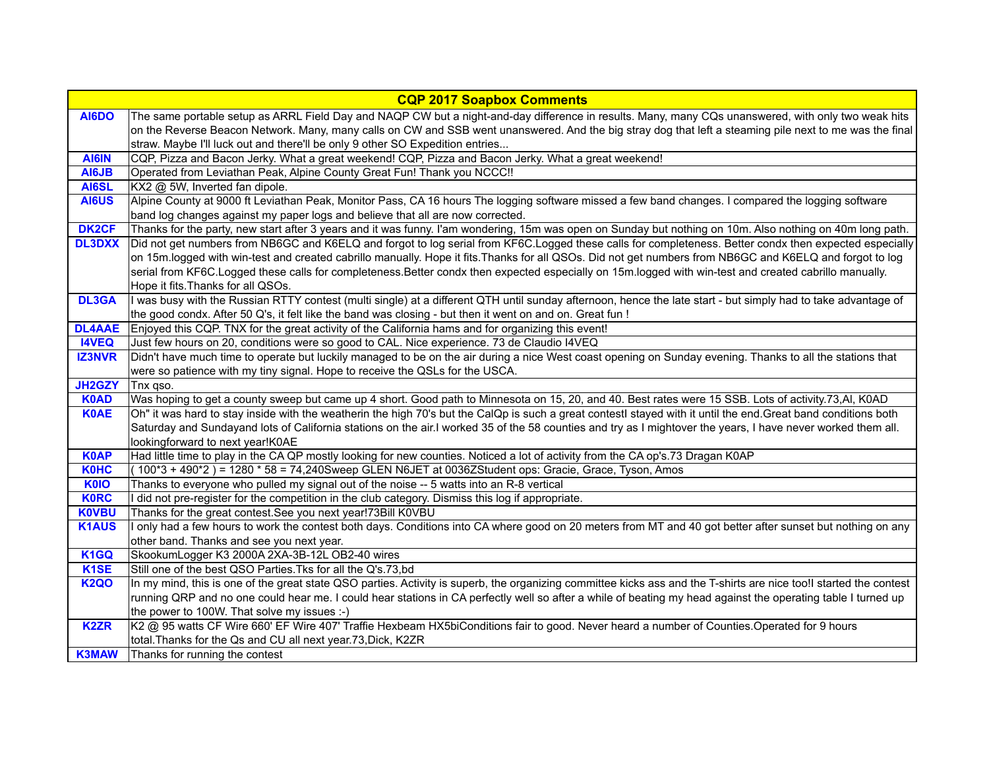| <b>CQP 2017 Soapbox Comments</b> |                                                                                                                                                                    |
|----------------------------------|--------------------------------------------------------------------------------------------------------------------------------------------------------------------|
| AI6DO                            | The same portable setup as ARRL Field Day and NAQP CW but a night-and-day difference in results. Many, many CQs unanswered, with only two weak hits                |
|                                  | on the Reverse Beacon Network. Many, many calls on CW and SSB went unanswered. And the big stray dog that left a steaming pile next to me was the final            |
|                                  | straw. Maybe I'll luck out and there'll be only 9 other SO Expedition entries                                                                                      |
| AI6IN                            | CQP, Pizza and Bacon Jerky. What a great weekend! CQP, Pizza and Bacon Jerky. What a great weekend!                                                                |
| AI6JB                            | Operated from Leviathan Peak, Alpine County Great Fun! Thank you NCCC !!                                                                                           |
| AI6SL                            | KX2 @ 5W, Inverted fan dipole.                                                                                                                                     |
| AI6US                            | Alpine County at 9000 ft Leviathan Peak, Monitor Pass, CA 16 hours The logging software missed a few band changes. I compared the logging software                 |
|                                  | band log changes against my paper logs and believe that all are now corrected.                                                                                     |
| <b>DK2CF</b>                     | Thanks for the party, new start after 3 years and it was funny. I'am wondering, 15m was open on Sunday but nothing on 10m. Also nothing on 40m long path.          |
| <b>DL3DXX</b>                    | Did not get numbers from NB6GC and K6ELQ and forgot to log serial from KF6C.Logged these calls for completeness. Better condx then expected especially             |
|                                  | on 15m.logged with win-test and created cabrillo manually. Hope it fits. Thanks for all QSOs. Did not get numbers from NB6GC and K6ELQ and forgot to log           |
|                                  | serial from KF6C.Logged these calls for completeness.Better condx then expected especially on 15m.logged with win-test and created cabrillo manually.              |
|                                  | Hope it fits. Thanks for all QSOs.                                                                                                                                 |
| <b>DL3GA</b>                     | I was busy with the Russian RTTY contest (multi single) at a different QTH until sunday afternoon, hence the late start - but simply had to take advantage of      |
|                                  | the good condx. After 50 Q's, it felt like the band was closing - but then it went on and on. Great fun !                                                          |
| <b>DL4AAE</b>                    | Enjoyed this CQP. TNX for the great activity of the California hams and for organizing this event!                                                                 |
| <b>I4VEQ</b>                     | Just few hours on 20, conditions were so good to CAL. Nice experience. 73 de Claudio I4VEQ                                                                         |
| <b>IZ3NVR</b>                    | Didn't have much time to operate but luckily managed to be on the air during a nice West coast opening on Sunday evening. Thanks to all the stations that          |
|                                  | were so patience with my tiny signal. Hope to receive the QSLs for the USCA.                                                                                       |
| JH2GZY                           | Tnx qso.                                                                                                                                                           |
| <b>K0AD</b>                      | Was hoping to get a county sweep but came up 4 short. Good path to Minnesota on 15, 20, and 40. Best rates were 15 SSB. Lots of activity.73,AI, K0AD               |
| <b>K0AE</b>                      | Oh" it was hard to stay inside with the weatherin the high 70's but the CalQp is such a great contestl stayed with it until the end. Great band conditions both    |
|                                  | Saturday and Sundayand lots of California stations on the air.I worked 35 of the 58 counties and try as I mightover the years, I have never worked them all.       |
|                                  | lookingforward to next year!K0AE                                                                                                                                   |
| <b>K0AP</b>                      | Had little time to play in the CA QP mostly looking for new counties. Noticed a lot of activity from the CA op's.73 Dragan K0AP                                    |
| <b>K0HC</b>                      | (100*3 + 490*2) = 1280 * 58 = 74,240Sweep GLEN N6JET at 0036ZStudent ops: Gracie, Grace, Tyson, Amos                                                               |
| <b>K0IO</b>                      | Thanks to everyone who pulled my signal out of the noise -- 5 watts into an R-8 vertical                                                                           |
| <b>K0RC</b>                      | I did not pre-register for the competition in the club category. Dismiss this log if appropriate.                                                                  |
| <b>K0VBU</b>                     | Thanks for the great contest. See you next year! 73Bill K0VBU                                                                                                      |
| <b>K1AUS</b>                     | I only had a few hours to work the contest both days. Conditions into CA where good on 20 meters from MT and 40 got better after sunset but nothing on any         |
|                                  | other band. Thanks and see you next year.                                                                                                                          |
| K <sub>1</sub> GQ                | SkookumLogger K3 2000A 2XA-3B-12L OB2-40 wires                                                                                                                     |
| K <sub>1</sub> SE                | Still one of the best QSO Parties. Tks for all the Q's.73,bd                                                                                                       |
| <b>K2QO</b>                      | In my mind, this is one of the great state QSO parties. Activity is superb, the organizing committee kicks ass and the T-shirts are nice too!I started the contest |
|                                  | running QRP and no one could hear me. I could hear stations in CA perfectly well so after a while of beating my head against the operating table I turned up       |
|                                  | the power to 100W. That solve my issues :-)                                                                                                                        |
| <b>K2ZR</b>                      | K2 @ 95 watts CF Wire 660' EF Wire 407' Traffie Hexbeam HX5biConditions fair to good. Never heard a number of Counties. Operated for 9 hours                       |
|                                  | total. Thanks for the Qs and CU all next year. 73, Dick, K2ZR                                                                                                      |
| <b>K3MAW</b>                     | Thanks for running the contest                                                                                                                                     |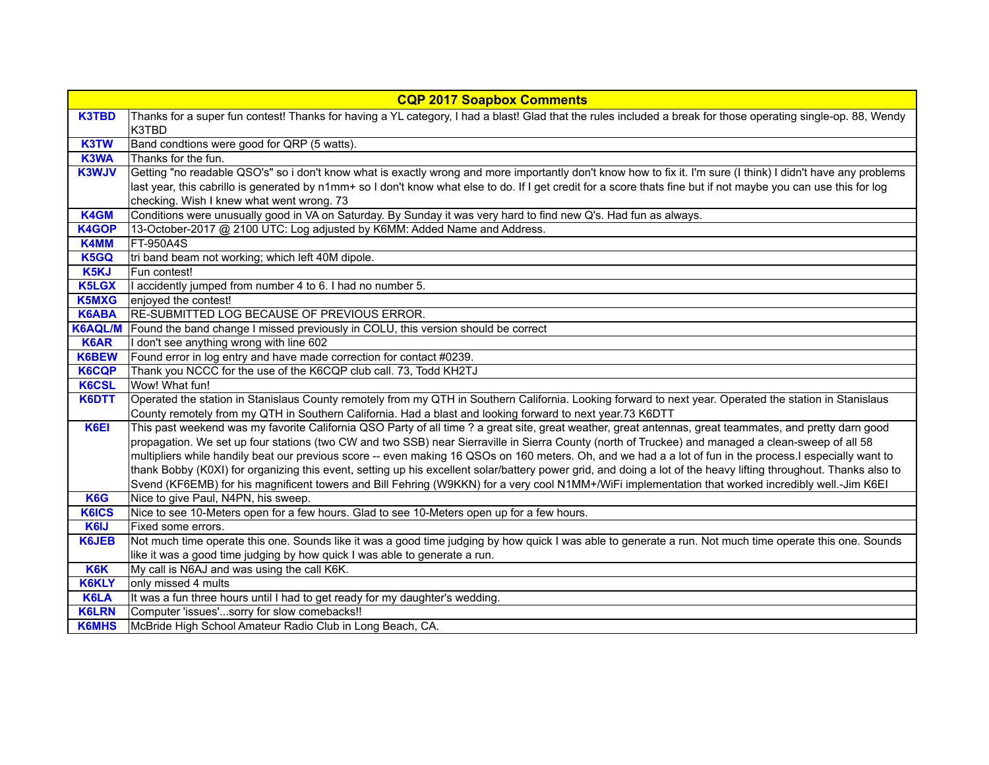| <b>CQP 2017 Soapbox Comments</b> |                                                                                                                                                                                           |
|----------------------------------|-------------------------------------------------------------------------------------------------------------------------------------------------------------------------------------------|
| <b>K3TBD</b>                     | Thanks for a super fun contest! Thanks for having a YL category, I had a blast! Glad that the rules included a break for those operating single-op. 88, Wendy<br>K3TBD                    |
| K3TW                             | Band condtions were good for QRP (5 watts).                                                                                                                                               |
| K3WA                             | Thanks for the fun.                                                                                                                                                                       |
| <b>K3WJV</b>                     | Getting "no readable QSO's" so i don't know what is exactly wrong and more importantly don't know how to fix it. I'm sure (I think) I didn't have any problems                            |
|                                  | last year, this cabrillo is generated by n1mm+ so I don't know what else to do. If I get credit for a score thats fine but if not maybe you can use this for log                          |
|                                  | checking. Wish I knew what went wrong. 73                                                                                                                                                 |
| <b>K4GM</b>                      | Conditions were unusually good in VA on Saturday. By Sunday it was very hard to find new Q's. Had fun as always.                                                                          |
| <b>K4GOP</b>                     | 13-October-2017 @ 2100 UTC: Log adjusted by K6MM: Added Name and Address.                                                                                                                 |
| <b>K4MM</b>                      | <b>FT-950A4S</b>                                                                                                                                                                          |
| K5GQ                             | tri band beam not working; which left 40M dipole.                                                                                                                                         |
| K <sub>5</sub> KJ                | Fun contest!                                                                                                                                                                              |
| <b>K5LGX</b>                     | I accidently jumped from number 4 to 6. I had no number 5.                                                                                                                                |
| <b>K5MXG</b>                     | enjoyed the contest!                                                                                                                                                                      |
| <b>K6ABA</b>                     | RE-SUBMITTED LOG BECAUSE OF PREVIOUS ERROR.                                                                                                                                               |
| <b>K6AQL/M</b>                   | Found the band change I missed previously in COLU, this version should be correct                                                                                                         |
| <b>K6AR</b>                      | I don't see anything wrong with line 602                                                                                                                                                  |
| K6BEW                            | Found error in log entry and have made correction for contact #0239.                                                                                                                      |
| <b>K6CQP</b>                     | Thank you NCCC for the use of the K6CQP club call. 73, Todd KH2TJ                                                                                                                         |
| <b>K6CSL</b>                     | Wow! What fun!                                                                                                                                                                            |
| K6DTT                            | Operated the station in Stanislaus County remotely from my QTH in Southern California. Looking forward to next year. Operated the station in Stanislaus                                   |
|                                  | County remotely from my QTH in Southern California. Had a blast and looking forward to next year.73 K6DTT                                                                                 |
| K <sub>6EI</sub>                 | This past weekend was my favorite California QSO Party of all time ? a great site, great weather, great antennas, great teammates, and pretty darn good                                   |
|                                  | propagation. We set up four stations (two CW and two SSB) near Sierraville in Sierra County (north of Truckee) and managed a clean-sweep of all 58                                        |
|                                  | multipliers while handily beat our previous score -- even making 16 QSOs on 160 meters. Oh, and we had a a lot of fun in the process. I especially want to                                |
|                                  | thank Bobby (K0XI) for organizing this event, setting up his excellent solar/battery power grid, and doing a lot of the heavy lifting throughout. Thanks also to                          |
| K6G                              | Svend (KF6EMB) for his magnificent towers and Bill Fehring (W9KKN) for a very cool N1MM+/WiFi implementation that worked incredibly well.-Jim K6EI<br>Nice to give Paul, N4PN, his sweep. |
| <b>K6ICS</b>                     | Nice to see 10-Meters open for a few hours. Glad to see 10-Meters open up for a few hours.                                                                                                |
| K6IJ                             | Fixed some errors.                                                                                                                                                                        |
| <b>K6JEB</b>                     | Not much time operate this one. Sounds like it was a good time judging by how quick I was able to generate a run. Not much time operate this one. Sounds                                  |
|                                  | like it was a good time judging by how quick I was able to generate a run.                                                                                                                |
| K6K                              | My call is N6AJ and was using the call K6K.                                                                                                                                               |
| <b>K6KLY</b>                     | only missed 4 mults                                                                                                                                                                       |
| K6LA                             | It was a fun three hours until I had to get ready for my daughter's wedding.                                                                                                              |
| <b>K6LRN</b>                     | Computer 'issues'sorry for slow comebacks!!                                                                                                                                               |
| <b>K6MHS</b>                     | McBride High School Amateur Radio Club in Long Beach, CA.                                                                                                                                 |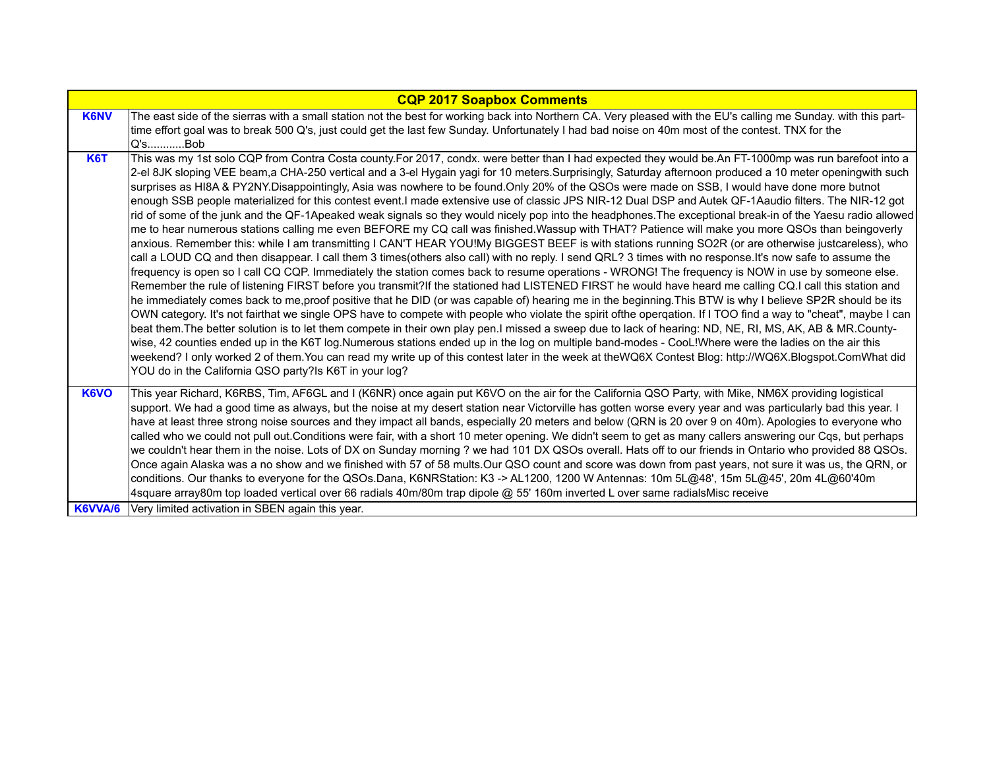| <b>CQP 2017 Soapbox Comments</b> |                                                                                                                                                                                                                                                                                                                                                                                                                                                                                                                                                                                                                                                                                                                                                                                                                                                                                                                                                                                                                                                                                                                                                                                                                                                                                                                                                                                                                                                                                                                                                                                                                                                                                                                                                                                                                                                                                                                                                                                                                                                                                                                                                                                                                                                                                                                                                                                                                                                             |
|----------------------------------|-------------------------------------------------------------------------------------------------------------------------------------------------------------------------------------------------------------------------------------------------------------------------------------------------------------------------------------------------------------------------------------------------------------------------------------------------------------------------------------------------------------------------------------------------------------------------------------------------------------------------------------------------------------------------------------------------------------------------------------------------------------------------------------------------------------------------------------------------------------------------------------------------------------------------------------------------------------------------------------------------------------------------------------------------------------------------------------------------------------------------------------------------------------------------------------------------------------------------------------------------------------------------------------------------------------------------------------------------------------------------------------------------------------------------------------------------------------------------------------------------------------------------------------------------------------------------------------------------------------------------------------------------------------------------------------------------------------------------------------------------------------------------------------------------------------------------------------------------------------------------------------------------------------------------------------------------------------------------------------------------------------------------------------------------------------------------------------------------------------------------------------------------------------------------------------------------------------------------------------------------------------------------------------------------------------------------------------------------------------------------------------------------------------------------------------------------------------|
| <b>K6NV</b>                      | The east side of the sierras with a small station not the best for working back into Northern CA. Very pleased with the EU's calling me Sunday. with this part-                                                                                                                                                                                                                                                                                                                                                                                                                                                                                                                                                                                                                                                                                                                                                                                                                                                                                                                                                                                                                                                                                                                                                                                                                                                                                                                                                                                                                                                                                                                                                                                                                                                                                                                                                                                                                                                                                                                                                                                                                                                                                                                                                                                                                                                                                             |
|                                  | time effort goal was to break 500 Q's, just could get the last few Sunday. Unfortunately I had bad noise on 40m most of the contest. TNX for the                                                                                                                                                                                                                                                                                                                                                                                                                                                                                                                                                                                                                                                                                                                                                                                                                                                                                                                                                                                                                                                                                                                                                                                                                                                                                                                                                                                                                                                                                                                                                                                                                                                                                                                                                                                                                                                                                                                                                                                                                                                                                                                                                                                                                                                                                                            |
|                                  | Q's…………Bob                                                                                                                                                                                                                                                                                                                                                                                                                                                                                                                                                                                                                                                                                                                                                                                                                                                                                                                                                                                                                                                                                                                                                                                                                                                                                                                                                                                                                                                                                                                                                                                                                                                                                                                                                                                                                                                                                                                                                                                                                                                                                                                                                                                                                                                                                                                                                                                                                                                  |
| <b>K6T</b>                       | This was my 1st solo CQP from Contra Costa county.For 2017, condx. were better than I had expected they would be.An FT-1000mp was run barefoot into a<br>2-el 8JK sloping VEE beam,a CHA-250 vertical and a 3-el Hygain yagi for 10 meters. Surprisingly, Saturday afternoon produced a 10 meter openingwith such<br>surprises as HI8A & PY2NY.Disappointingly, Asia was nowhere to be found.Only 20% of the QSOs were made on SSB, I would have done more butnot<br>enough SSB people materialized for this contest event.I made extensive use of classic JPS NIR-12 Dual DSP and Autek QF-1Aaudio filters. The NIR-12 got<br>rid of some of the junk and the QF-1Apeaked weak signals so they would nicely pop into the headphones. The exceptional break-in of the Yaesu radio allowed<br>me to hear numerous stations calling me even BEFORE my CQ call was finished.Wassup with THAT? Patience will make you more QSOs than beingoverly<br>anxious. Remember this: while I am transmitting I CAN'T HEAR YOU!My BIGGEST BEEF is with stations running SO2R (or are otherwise justcareless), who<br>call a LOUD CQ and then disappear. I call them 3 times(others also call) with no reply. I send QRL? 3 times with no response. It's now safe to assume the<br>frequency is open so I call CQ CQP. Immediately the station comes back to resume operations - WRONG! The frequency is NOW in use by someone else.<br>Remember the rule of listening FIRST before you transmit?If the stationed had LISTENED FIRST he would have heard me calling CQ.I call this station and<br>he immediately comes back to me, proof positive that he DID (or was capable of) hearing me in the beginning. This BTW is why I believe SP2R should be its<br>OWN category. It's not fairthat we single OPS have to compete with people who violate the spirit of the opergation. If I TOO find a way to "cheat", maybe I can<br>beat them. The better solution is to let them compete in their own play pen. I missed a sweep due to lack of hearing: ND, NE, RI, MS, AK, AB & MR. County-<br>wise, 42 counties ended up in the K6T log.Numerous stations ended up in the log on multiple band-modes - CooL!Where were the ladies on the air this<br>weekend? I only worked 2 of them. You can read my write up of this contest later in the week at theWQ6X Contest Blog: http://WQ6X. Blogspot. ComWhat did<br>YOU do in the California QSO party? Is K6T in your log? |
| K6VO                             | This year Richard, K6RBS, Tim, AF6GL and I (K6NR) once again put K6VO on the air for the California QSO Party, with Mike, NM6X providing logistical                                                                                                                                                                                                                                                                                                                                                                                                                                                                                                                                                                                                                                                                                                                                                                                                                                                                                                                                                                                                                                                                                                                                                                                                                                                                                                                                                                                                                                                                                                                                                                                                                                                                                                                                                                                                                                                                                                                                                                                                                                                                                                                                                                                                                                                                                                         |
|                                  | support. We had a good time as always, but the noise at my desert station near Victorville has gotten worse every year and was particularly bad this year. I                                                                                                                                                                                                                                                                                                                                                                                                                                                                                                                                                                                                                                                                                                                                                                                                                                                                                                                                                                                                                                                                                                                                                                                                                                                                                                                                                                                                                                                                                                                                                                                                                                                                                                                                                                                                                                                                                                                                                                                                                                                                                                                                                                                                                                                                                                |
|                                  | have at least three strong noise sources and they impact all bands, especially 20 meters and below (QRN is 20 over 9 on 40m). Apologies to everyone who                                                                                                                                                                                                                                                                                                                                                                                                                                                                                                                                                                                                                                                                                                                                                                                                                                                                                                                                                                                                                                                                                                                                                                                                                                                                                                                                                                                                                                                                                                                                                                                                                                                                                                                                                                                                                                                                                                                                                                                                                                                                                                                                                                                                                                                                                                     |
|                                  | called who we could not pull out.Conditions were fair, with a short 10 meter opening. We didn't seem to get as many callers answering our Cqs, but perhaps                                                                                                                                                                                                                                                                                                                                                                                                                                                                                                                                                                                                                                                                                                                                                                                                                                                                                                                                                                                                                                                                                                                                                                                                                                                                                                                                                                                                                                                                                                                                                                                                                                                                                                                                                                                                                                                                                                                                                                                                                                                                                                                                                                                                                                                                                                  |
|                                  | we couldn't hear them in the noise. Lots of DX on Sunday morning ? we had 101 DX QSOs overall. Hats off to our friends in Ontario who provided 88 QSOs.                                                                                                                                                                                                                                                                                                                                                                                                                                                                                                                                                                                                                                                                                                                                                                                                                                                                                                                                                                                                                                                                                                                                                                                                                                                                                                                                                                                                                                                                                                                                                                                                                                                                                                                                                                                                                                                                                                                                                                                                                                                                                                                                                                                                                                                                                                     |
|                                  | Once again Alaska was a no show and we finished with 57 of 58 mults.Our QSO count and score was down from past years, not sure it was us, the QRN, or                                                                                                                                                                                                                                                                                                                                                                                                                                                                                                                                                                                                                                                                                                                                                                                                                                                                                                                                                                                                                                                                                                                                                                                                                                                                                                                                                                                                                                                                                                                                                                                                                                                                                                                                                                                                                                                                                                                                                                                                                                                                                                                                                                                                                                                                                                       |
|                                  | conditions. Our thanks to everyone for the QSOs.Dana, K6NRStation: K3 -> AL1200, 1200 W Antennas: 10m 5L@48', 15m 5L@45', 20m 4L@60'40m                                                                                                                                                                                                                                                                                                                                                                                                                                                                                                                                                                                                                                                                                                                                                                                                                                                                                                                                                                                                                                                                                                                                                                                                                                                                                                                                                                                                                                                                                                                                                                                                                                                                                                                                                                                                                                                                                                                                                                                                                                                                                                                                                                                                                                                                                                                     |
|                                  | 4square array80m top loaded vertical over 66 radials 40m/80m trap dipole @ 55' 160m inverted L over same radialsMisc receive                                                                                                                                                                                                                                                                                                                                                                                                                                                                                                                                                                                                                                                                                                                                                                                                                                                                                                                                                                                                                                                                                                                                                                                                                                                                                                                                                                                                                                                                                                                                                                                                                                                                                                                                                                                                                                                                                                                                                                                                                                                                                                                                                                                                                                                                                                                                |
| K6VVA/6                          | Very limited activation in SBEN again this year.                                                                                                                                                                                                                                                                                                                                                                                                                                                                                                                                                                                                                                                                                                                                                                                                                                                                                                                                                                                                                                                                                                                                                                                                                                                                                                                                                                                                                                                                                                                                                                                                                                                                                                                                                                                                                                                                                                                                                                                                                                                                                                                                                                                                                                                                                                                                                                                                            |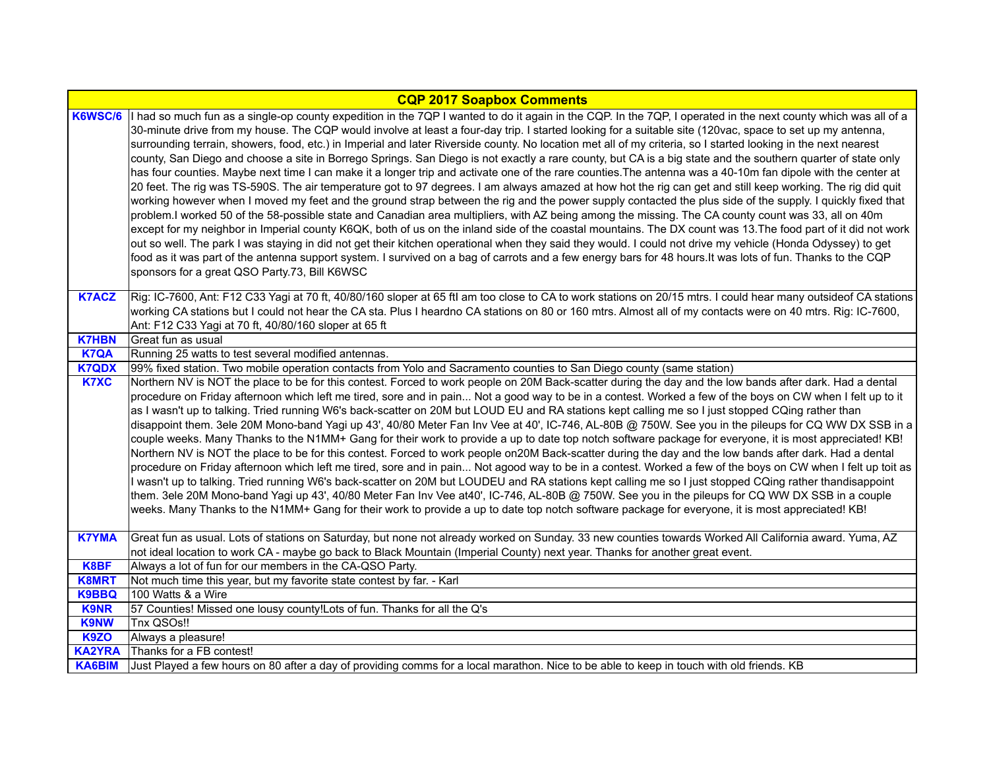| <b>CQP 2017 Soapbox Comments</b> |                                                                                                                                                                                                                                                                                                                                                                                                                                                                                                                                                                                                                                                                                                                                                                                                                                                                                                                                                                                                                                                                                                                                                                                                                                                                                                                                                                                                                                                                                                                                                                                                                                                                                                                                                                                                                                                                   |
|----------------------------------|-------------------------------------------------------------------------------------------------------------------------------------------------------------------------------------------------------------------------------------------------------------------------------------------------------------------------------------------------------------------------------------------------------------------------------------------------------------------------------------------------------------------------------------------------------------------------------------------------------------------------------------------------------------------------------------------------------------------------------------------------------------------------------------------------------------------------------------------------------------------------------------------------------------------------------------------------------------------------------------------------------------------------------------------------------------------------------------------------------------------------------------------------------------------------------------------------------------------------------------------------------------------------------------------------------------------------------------------------------------------------------------------------------------------------------------------------------------------------------------------------------------------------------------------------------------------------------------------------------------------------------------------------------------------------------------------------------------------------------------------------------------------------------------------------------------------------------------------------------------------|
| K6WSC/6                          | I had so much fun as a single-op county expedition in the 7QP I wanted to do it again in the CQP. In the 7QP, I operated in the next county which was all of a<br>30-minute drive from my house. The CQP would involve at least a four-day trip. I started looking for a suitable site (120vac, space to set up my antenna,<br>surrounding terrain, showers, food, etc.) in Imperial and later Riverside county. No location met all of my criteria, so I started looking in the next nearest<br>county, San Diego and choose a site in Borrego Springs. San Diego is not exactly a rare county, but CA is a big state and the southern quarter of state only<br>has four counties. Maybe next time I can make it a longer trip and activate one of the rare counties. The antenna was a 40-10m fan dipole with the center at<br>20 feet. The rig was TS-590S. The air temperature got to 97 degrees. I am always amazed at how hot the rig can get and still keep working. The rig did quit<br>working however when I moved my feet and the ground strap between the rig and the power supply contacted the plus side of the supply. I quickly fixed that<br>problem.I worked 50 of the 58-possible state and Canadian area multipliers, with AZ being among the missing. The CA county count was 33, all on 40m<br>except for my neighbor in Imperial county K6QK, both of us on the inland side of the coastal mountains. The DX count was 13. The food part of it did not work<br>out so well. The park I was staying in did not get their kitchen operational when they said they would. I could not drive my vehicle (Honda Odyssey) to get<br>food as it was part of the antenna support system. I survived on a bag of carrots and a few energy bars for 48 hours. It was lots of fun. Thanks to the CQP<br>sponsors for a great QSO Party.73, Bill K6WSC |
| <b>K7ACZ</b>                     | Rig: IC-7600, Ant: F12 C33 Yagi at 70 ft, 40/80/160 sloper at 65 ftl am too close to CA to work stations on 20/15 mtrs. I could hear many outsideof CA stations<br>working CA stations but I could not hear the CA sta. Plus I heardno CA stations on 80 or 160 mtrs. Almost all of my contacts were on 40 mtrs. Rig: IC-7600,<br>Ant: F12 C33 Yagi at 70 ft, 40/80/160 sloper at 65 ft                                                                                                                                                                                                                                                                                                                                                                                                                                                                                                                                                                                                                                                                                                                                                                                                                                                                                                                                                                                                                                                                                                                                                                                                                                                                                                                                                                                                                                                                           |
| <b>K7HBN</b>                     | Great fun as usual                                                                                                                                                                                                                                                                                                                                                                                                                                                                                                                                                                                                                                                                                                                                                                                                                                                                                                                                                                                                                                                                                                                                                                                                                                                                                                                                                                                                                                                                                                                                                                                                                                                                                                                                                                                                                                                |
| <b>K7QA</b>                      | Running 25 watts to test several modified antennas.                                                                                                                                                                                                                                                                                                                                                                                                                                                                                                                                                                                                                                                                                                                                                                                                                                                                                                                                                                                                                                                                                                                                                                                                                                                                                                                                                                                                                                                                                                                                                                                                                                                                                                                                                                                                               |
| <b>K7QDX</b>                     | 99% fixed station. Two mobile operation contacts from Yolo and Sacramento counties to San Diego county (same station)                                                                                                                                                                                                                                                                                                                                                                                                                                                                                                                                                                                                                                                                                                                                                                                                                                                                                                                                                                                                                                                                                                                                                                                                                                                                                                                                                                                                                                                                                                                                                                                                                                                                                                                                             |
| <b>K7XC</b>                      | Northern NV is NOT the place to be for this contest. Forced to work people on 20M Back-scatter during the day and the low bands after dark. Had a dental<br>procedure on Friday afternoon which left me tired, sore and in pain Not a good way to be in a contest. Worked a few of the boys on CW when I felt up to it<br>as I wasn't up to talking. Tried running W6's back-scatter on 20M but LOUD EU and RA stations kept calling me so I just stopped CQing rather than<br>disappoint them. 3ele 20M Mono-band Yagi up 43', 40/80 Meter Fan Inv Vee at 40', IC-746, AL-80B @ 750W. See you in the pileups for CQ WW DX SSB in a<br>couple weeks. Many Thanks to the N1MM+ Gang for their work to provide a up to date top notch software package for everyone, it is most appreciated! KB!<br>Northern NV is NOT the place to be for this contest. Forced to work people on20M Back-scatter during the day and the low bands after dark. Had a dental<br>procedure on Friday afternoon which left me tired, sore and in pain Not agood way to be in a contest. Worked a few of the boys on CW when I felt up toit as<br>I wasn't up to talking. Tried running W6's back-scatter on 20M but LOUDEU and RA stations kept calling me so I just stopped CQing rather thandisappoint<br>them. 3ele 20M Mono-band Yagi up 43', 40/80 Meter Fan Inv Vee at40', IC-746, AL-80B @ 750W. See you in the pileups for CQ WW DX SSB in a couple<br>weeks. Many Thanks to the N1MM+ Gang for their work to provide a up to date top notch software package for everyone, it is most appreciated! KB!                                                                                                                                                                                                                                                                        |
| <b>K7YMA</b>                     | Great fun as usual. Lots of stations on Saturday, but none not already worked on Sunday. 33 new counties towards Worked All California award. Yuma, AZ                                                                                                                                                                                                                                                                                                                                                                                                                                                                                                                                                                                                                                                                                                                                                                                                                                                                                                                                                                                                                                                                                                                                                                                                                                                                                                                                                                                                                                                                                                                                                                                                                                                                                                            |
|                                  | not ideal location to work CA - maybe go back to Black Mountain (Imperial County) next year. Thanks for another great event.                                                                                                                                                                                                                                                                                                                                                                                                                                                                                                                                                                                                                                                                                                                                                                                                                                                                                                                                                                                                                                                                                                                                                                                                                                                                                                                                                                                                                                                                                                                                                                                                                                                                                                                                      |
| K8BF                             | Always a lot of fun for our members in the CA-QSO Party.                                                                                                                                                                                                                                                                                                                                                                                                                                                                                                                                                                                                                                                                                                                                                                                                                                                                                                                                                                                                                                                                                                                                                                                                                                                                                                                                                                                                                                                                                                                                                                                                                                                                                                                                                                                                          |
| <b>K8MRT</b>                     | Not much time this year, but my favorite state contest by far. - Karl<br>100 Watts & a Wire                                                                                                                                                                                                                                                                                                                                                                                                                                                                                                                                                                                                                                                                                                                                                                                                                                                                                                                                                                                                                                                                                                                                                                                                                                                                                                                                                                                                                                                                                                                                                                                                                                                                                                                                                                       |
| <b>K9BBQ</b><br><b>K9NR</b>      | 57 Counties! Missed one lousy county!Lots of fun. Thanks for all the Q's                                                                                                                                                                                                                                                                                                                                                                                                                                                                                                                                                                                                                                                                                                                                                                                                                                                                                                                                                                                                                                                                                                                                                                                                                                                                                                                                                                                                                                                                                                                                                                                                                                                                                                                                                                                          |
| <b>K9NW</b>                      | Tnx QSOs!!                                                                                                                                                                                                                                                                                                                                                                                                                                                                                                                                                                                                                                                                                                                                                                                                                                                                                                                                                                                                                                                                                                                                                                                                                                                                                                                                                                                                                                                                                                                                                                                                                                                                                                                                                                                                                                                        |
| <b>K9ZO</b>                      | Always a pleasure!                                                                                                                                                                                                                                                                                                                                                                                                                                                                                                                                                                                                                                                                                                                                                                                                                                                                                                                                                                                                                                                                                                                                                                                                                                                                                                                                                                                                                                                                                                                                                                                                                                                                                                                                                                                                                                                |
| <b>KA2YRA</b>                    | Thanks for a FB contest!                                                                                                                                                                                                                                                                                                                                                                                                                                                                                                                                                                                                                                                                                                                                                                                                                                                                                                                                                                                                                                                                                                                                                                                                                                                                                                                                                                                                                                                                                                                                                                                                                                                                                                                                                                                                                                          |
| <b>KA6BIM</b>                    | Just Played a few hours on 80 after a day of providing comms for a local marathon. Nice to be able to keep in touch with old friends. KB                                                                                                                                                                                                                                                                                                                                                                                                                                                                                                                                                                                                                                                                                                                                                                                                                                                                                                                                                                                                                                                                                                                                                                                                                                                                                                                                                                                                                                                                                                                                                                                                                                                                                                                          |
|                                  |                                                                                                                                                                                                                                                                                                                                                                                                                                                                                                                                                                                                                                                                                                                                                                                                                                                                                                                                                                                                                                                                                                                                                                                                                                                                                                                                                                                                                                                                                                                                                                                                                                                                                                                                                                                                                                                                   |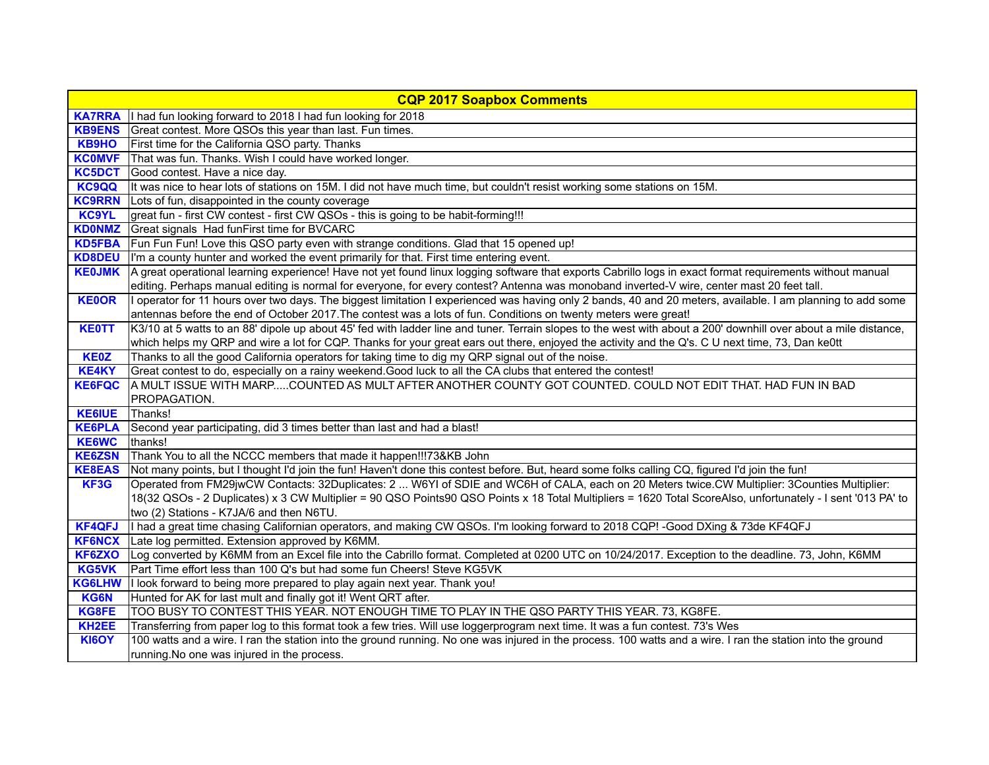|                    | <b>CQP 2017 Soapbox Comments</b>                                                                                                                                 |
|--------------------|------------------------------------------------------------------------------------------------------------------------------------------------------------------|
|                    | KA7RRA   I had fun looking forward to 2018 I had fun looking for 2018                                                                                            |
| <b>KB9ENS</b>      | Great contest. More QSOs this year than last. Fun times.                                                                                                         |
| <b>KB9HO</b>       | First time for the California QSO party. Thanks                                                                                                                  |
|                    | KCOMVF   That was fun. Thanks. Wish I could have worked longer.                                                                                                  |
| KC5DCT             | Good contest. Have a nice day.                                                                                                                                   |
| <b>KC9QQ</b>       | It was nice to hear lots of stations on 15M. I did not have much time, but couldn't resist working some stations on 15M.                                         |
|                    | KC9RRN Lots of fun, disappointed in the county coverage                                                                                                          |
| <b>KC9YL</b>       | great fun - first CW contest - first CW QSOs - this is going to be habit-forming!!!                                                                              |
| <b>KDONMZ</b>      | Great signals Had funFirst time for BVCARC                                                                                                                       |
| <b>KD5FBA</b>      | Fun Fun Fun! Love this QSO party even with strange conditions. Glad that 15 opened up!                                                                           |
| <b>KD8DEU</b>      | I'm a county hunter and worked the event primarily for that. First time entering event.                                                                          |
| <b>KE0JMK</b>      | A great operational learning experience! Have not yet found linux logging software that exports Cabrillo logs in exact format requirements without manual        |
|                    | editing. Perhaps manual editing is normal for everyone, for every contest? Antenna was monoband inverted-V wire, center mast 20 feet tall.                       |
| <b>KE0OR</b>       | I operator for 11 hours over two days. The biggest limitation I experienced was having only 2 bands, 40 and 20 meters, available. I am planning to add some      |
|                    | antennas before the end of October 2017. The contest was a lots of fun. Conditions on twenty meters were great!                                                  |
| <b>KE0TT</b>       | K3/10 at 5 watts to an 88' dipole up about 45' fed with ladder line and tuner. Terrain slopes to the west with about a 200' downhill over about a mile distance, |
|                    | which helps my QRP and wire a lot for CQP. Thanks for your great ears out there, enjoyed the activity and the Q's. C U next time, 73, Dan ke0tt                  |
| <b>KE0Z</b>        | Thanks to all the good California operators for taking time to dig my QRP signal out of the noise.                                                               |
| <b>KE4KY</b>       | Great contest to do, especially on a rainy weekend. Good luck to all the CA clubs that entered the contest!                                                      |
| <b>KE6FQC</b>      | A MULT ISSUE WITH MARPCOUNTED AS MULT AFTER ANOTHER COUNTY GOT COUNTED. COULD NOT EDIT THAT. HAD FUN IN BAD                                                      |
|                    | PROPAGATION.                                                                                                                                                     |
| <b>KE6IUE</b>      | Thanks!                                                                                                                                                          |
| <b>KE6PLA</b>      | Second year participating, did 3 times better than last and had a blast!                                                                                         |
| <b>KE6WC</b>       | thanks!                                                                                                                                                          |
| <b>KE6ZSN</b>      | Thank You to all the NCCC members that made it happen!!!73&KB John                                                                                               |
| <b>KE8EAS</b>      | Not many points, but I thought I'd join the fun! Haven't done this contest before. But, heard some folks calling CQ, figured I'd join the fun!                   |
| KF3G               | Operated from FM29jwCW Contacts: 32Duplicates: 2  W6YI of SDIE and WC6H of CALA, each on 20 Meters twice.CW Multiplier: 3Counties Multiplier:                    |
|                    | 18(32 QSOs - 2 Duplicates) x 3 CW Multiplier = 90 QSO Points90 QSO Points x 18 Total Multipliers = 1620 Total ScoreAlso, unfortunately - I sent '013 PA' to      |
|                    | two (2) Stations - K7JA/6 and then N6TU.                                                                                                                         |
| <b>KF4QFJ</b>      | I had a great time chasing Californian operators, and making CW QSOs. I'm looking forward to 2018 CQP! -Good DXing & 73de KF4QFJ                                 |
| <b>KF6NCX</b>      | Late log permitted. Extension approved by K6MM.                                                                                                                  |
| KF6ZXO             | Log converted by K6MM from an Excel file into the Cabrillo format. Completed at 0200 UTC on 10/24/2017. Exception to the deadline. 73, John, K6MM                |
| KG5VK              | Part Time effort less than 100 Q's but had some fun Cheers! Steve KG5VK                                                                                          |
| <b>KG6LHW</b>      | I look forward to being more prepared to play again next year. Thank you!                                                                                        |
| <b>KG6N</b>        | Hunted for AK for last mult and finally got it! Went QRT after.                                                                                                  |
| KG8FE              | TOO BUSY TO CONTEST THIS YEAR. NOT ENOUGH TIME TO PLAY IN THE QSO PARTY THIS YEAR. 73, KG8FE.                                                                    |
| KH <sub>2</sub> EE | Transferring from paper log to this format took a few tries. Will use loggerprogram next time. It was a fun contest. 73's Wes                                    |
| <b>KI6OY</b>       | 100 watts and a wire. I ran the station into the ground running. No one was injured in the process. 100 watts and a wire. I ran the station into the ground      |
|                    | running. No one was injured in the process.                                                                                                                      |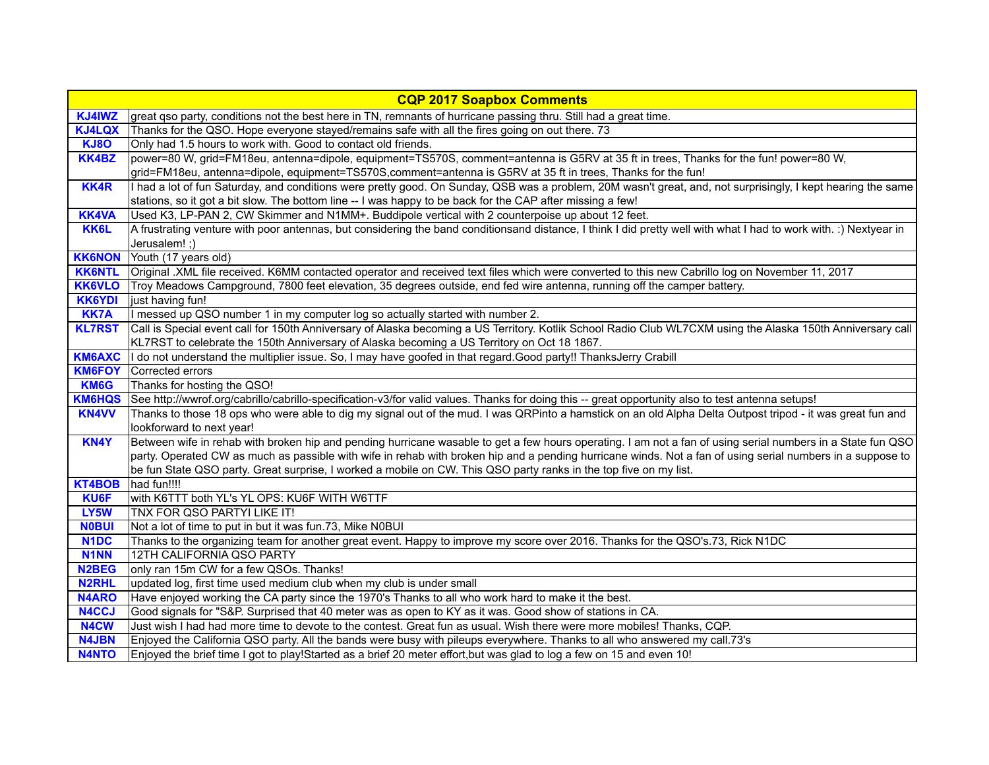|                    | <b>CQP 2017 Soapbox Comments</b>                                                                                                                                                                                                                                           |
|--------------------|----------------------------------------------------------------------------------------------------------------------------------------------------------------------------------------------------------------------------------------------------------------------------|
| KJ4IWZ             | great qso party, conditions not the best here in TN, remnants of hurricane passing thru. Still had a great time.                                                                                                                                                           |
| <b>KJ4LQX</b>      | Thanks for the QSO. Hope everyone stayed/remains safe with all the fires going on out there. 73                                                                                                                                                                            |
| <b>KJ80</b>        | Only had 1.5 hours to work with. Good to contact old friends.                                                                                                                                                                                                              |
| <b>KK4BZ</b>       | power=80 W, grid=FM18eu, antenna=dipole, equipment=TS570S, comment=antenna is G5RV at 35 ft in trees, Thanks for the fun! power=80 W,                                                                                                                                      |
|                    | grid=FM18eu, antenna=dipole, equipment=TS570S,comment=antenna is G5RV at 35 ft in trees, Thanks for the fun!                                                                                                                                                               |
| <b>KK4R</b>        | I had a lot of fun Saturday, and conditions were pretty good. On Sunday, QSB was a problem, 20M wasn't great, and, not surprisingly, I kept hearing the same<br>stations, so it got a bit slow. The bottom line -- I was happy to be back for the CAP after missing a few! |
| <b>KK4VA</b>       | Used K3, LP-PAN 2, CW Skimmer and N1MM+. Buddipole vertical with 2 counterpoise up about 12 feet.                                                                                                                                                                          |
| KK6L               | A frustrating venture with poor antennas, but considering the band conditionsand distance, I think I did pretty well with what I had to work with. :) Nextyear in                                                                                                          |
|                    | Jerusalem! ;)                                                                                                                                                                                                                                                              |
| <b>KK6NON</b>      | Youth (17 years old)                                                                                                                                                                                                                                                       |
| <b>KK6NTL</b>      | Original .XML file received. K6MM contacted operator and received text files which were converted to this new Cabrillo log on November 11, 2017                                                                                                                            |
| <b>KK6VLO</b>      | Troy Meadows Campground, 7800 feet elevation, 35 degrees outside, end fed wire antenna, running off the camper battery.                                                                                                                                                    |
| <b>KK6YDI</b>      | just having fun!                                                                                                                                                                                                                                                           |
| <b>KK7A</b>        | I messed up QSO number 1 in my computer log so actually started with number 2.                                                                                                                                                                                             |
| <b>KL7RST</b>      | Call is Special event call for 150th Anniversary of Alaska becoming a US Territory. Kotlik School Radio Club WL7CXM using the Alaska 150th Anniversary call                                                                                                                |
|                    | KL7RST to celebrate the 150th Anniversary of Alaska becoming a US Territory on Oct 18 1867.                                                                                                                                                                                |
| <b>KM6AXC</b>      | I do not understand the multiplier issue. So, I may have goofed in that regard.Good party!! ThanksJerry Crabill                                                                                                                                                            |
| <b>KM6FOY</b>      | Corrected errors                                                                                                                                                                                                                                                           |
| KM6G               | Thanks for hosting the QSO!                                                                                                                                                                                                                                                |
| <b>KM6HQS</b>      | See http://wwrof.org/cabrillo/cabrillo-specification-v3/for valid values. Thanks for doing this -- great opportunity also to test antenna setups!                                                                                                                          |
| <b>KN4VV</b>       | Thanks to those 18 ops who were able to dig my signal out of the mud. I was QRPinto a hamstick on an old Alpha Delta Outpost tripod - it was great fun and                                                                                                                 |
|                    | lookforward to next year!                                                                                                                                                                                                                                                  |
| KN4Y               | Between wife in rehab with broken hip and pending hurricane wasable to get a few hours operating. I am not a fan of using serial numbers in a State fun QSO                                                                                                                |
|                    | party. Operated CW as much as passible with wife in rehab with broken hip and a pending hurricane winds. Not a fan of using serial numbers in a suppose to                                                                                                                 |
|                    | be fun State QSO party. Great surprise, I worked a mobile on CW. This QSO party ranks in the top five on my list.                                                                                                                                                          |
| KT4BOB             | had fun!!!!                                                                                                                                                                                                                                                                |
| <b>KU6F</b>        | with K6TTT both YL's YL OPS: KU6F WITH W6TTF                                                                                                                                                                                                                               |
| LY5W               | TNX FOR QSO PARTYI LIKE IT!                                                                                                                                                                                                                                                |
| <b>NOBUI</b>       | Not a lot of time to put in but it was fun.73, Mike N0BUI                                                                                                                                                                                                                  |
| N <sub>1</sub> DC  | Thanks to the organizing team for another great event. Happy to improve my score over 2016. Thanks for the QSO's.73, Rick N1DC                                                                                                                                             |
| <b>N1NN</b>        | 12TH CALIFORNIA QSO PARTY                                                                                                                                                                                                                                                  |
| N <sub>2</sub> BEG | only ran 15m CW for a few QSOs. Thanks!                                                                                                                                                                                                                                    |
| <b>N2RHL</b>       | updated log, first time used medium club when my club is under small                                                                                                                                                                                                       |
| <b>N4ARO</b>       | Have enjoyed working the CA party since the 1970's Thanks to all who work hard to make it the best.                                                                                                                                                                        |
| N4CCJ              | Good signals for "S&P. Surprised that 40 meter was as open to KY as it was. Good show of stations in CA.                                                                                                                                                                   |
| N4CW               | Just wish I had had more time to devote to the contest. Great fun as usual. Wish there were more mobiles! Thanks, CQP.                                                                                                                                                     |
| <b>N4JBN</b>       | Enjoyed the California QSO party. All the bands were busy with pileups everywhere. Thanks to all who answered my call.73's                                                                                                                                                 |
| <b>N4NTO</b>       | Enjoyed the brief time I got to play!Started as a brief 20 meter effort, but was glad to log a few on 15 and even 10!                                                                                                                                                      |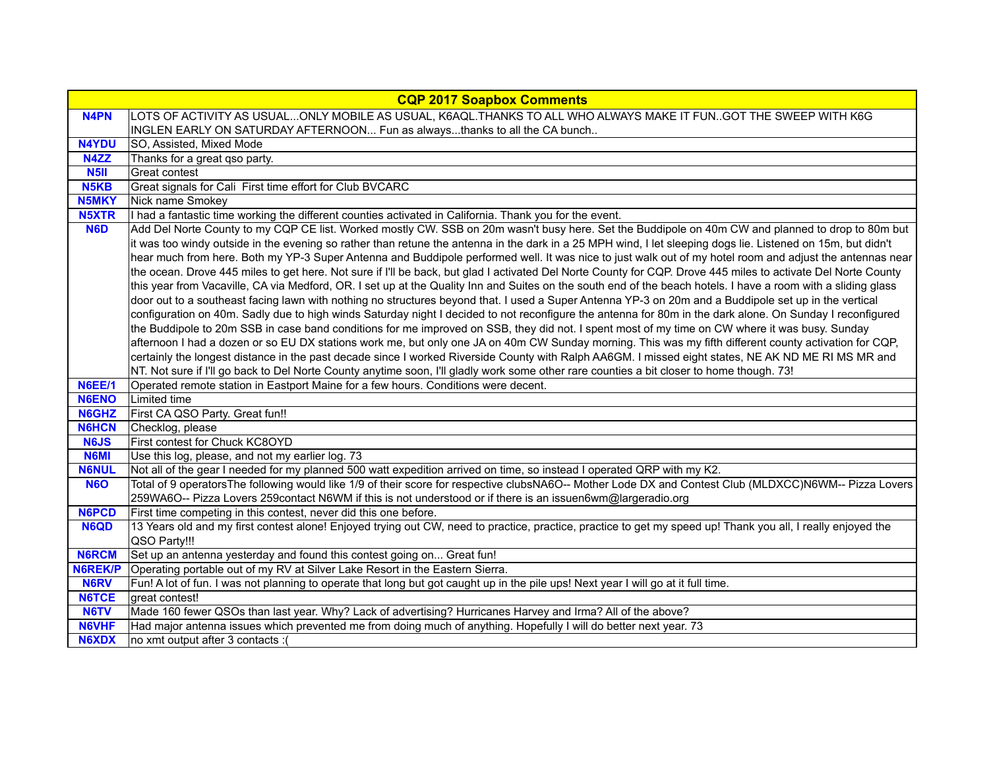|                   | <b>CQP 2017 Soapbox Comments</b>                                                                                                                                                                                                                                                                                                                                                                                                                                                                                                                                                                                                                                                                                                                                                                                                                                                                                                                                                                                                                                                                                                                                                                                                                                                        |
|-------------------|-----------------------------------------------------------------------------------------------------------------------------------------------------------------------------------------------------------------------------------------------------------------------------------------------------------------------------------------------------------------------------------------------------------------------------------------------------------------------------------------------------------------------------------------------------------------------------------------------------------------------------------------------------------------------------------------------------------------------------------------------------------------------------------------------------------------------------------------------------------------------------------------------------------------------------------------------------------------------------------------------------------------------------------------------------------------------------------------------------------------------------------------------------------------------------------------------------------------------------------------------------------------------------------------|
| <b>N4PN</b>       | LOTS OF ACTIVITY AS USUALONLY MOBILE AS USUAL, K6AQL.THANKS TO ALL WHO ALWAYS MAKE IT FUNGOT THE SWEEP WITH K6G                                                                                                                                                                                                                                                                                                                                                                                                                                                                                                                                                                                                                                                                                                                                                                                                                                                                                                                                                                                                                                                                                                                                                                         |
|                   | INGLEN EARLY ON SATURDAY AFTERNOON Fun as alwaysthanks to all the CA bunch                                                                                                                                                                                                                                                                                                                                                                                                                                                                                                                                                                                                                                                                                                                                                                                                                                                                                                                                                                                                                                                                                                                                                                                                              |
| <b>N4YDU</b>      | SO, Assisted, Mixed Mode                                                                                                                                                                                                                                                                                                                                                                                                                                                                                                                                                                                                                                                                                                                                                                                                                                                                                                                                                                                                                                                                                                                                                                                                                                                                |
| N4ZZ              | Thanks for a great gso party.                                                                                                                                                                                                                                                                                                                                                                                                                                                                                                                                                                                                                                                                                                                                                                                                                                                                                                                                                                                                                                                                                                                                                                                                                                                           |
| N5II              | Great contest                                                                                                                                                                                                                                                                                                                                                                                                                                                                                                                                                                                                                                                                                                                                                                                                                                                                                                                                                                                                                                                                                                                                                                                                                                                                           |
| N <sub>5</sub> KB | Great signals for Cali First time effort for Club BVCARC                                                                                                                                                                                                                                                                                                                                                                                                                                                                                                                                                                                                                                                                                                                                                                                                                                                                                                                                                                                                                                                                                                                                                                                                                                |
| <b>N5MKY</b>      | Nick name Smokey                                                                                                                                                                                                                                                                                                                                                                                                                                                                                                                                                                                                                                                                                                                                                                                                                                                                                                                                                                                                                                                                                                                                                                                                                                                                        |
| <b>N5XTR</b>      | I had a fantastic time working the different counties activated in California. Thank you for the event.                                                                                                                                                                                                                                                                                                                                                                                                                                                                                                                                                                                                                                                                                                                                                                                                                                                                                                                                                                                                                                                                                                                                                                                 |
| N <sub>6</sub> D  | Add Del Norte County to my CQP CE list. Worked mostly CW. SSB on 20m wasn't busy here. Set the Buddipole on 40m CW and planned to drop to 80m but<br>it was too windy outside in the evening so rather than retune the antenna in the dark in a 25 MPH wind, I let sleeping dogs lie. Listened on 15m, but didn't<br>hear much from here. Both my YP-3 Super Antenna and Buddipole performed well. It was nice to just walk out of my hotel room and adjust the antennas near<br>the ocean. Drove 445 miles to get here. Not sure if I'll be back, but glad I activated Del Norte County for CQP. Drove 445 miles to activate Del Norte County<br>this year from Vacaville, CA via Medford, OR. I set up at the Quality Inn and Suites on the south end of the beach hotels. I have a room with a sliding glass<br>door out to a southeast facing lawn with nothing no structures beyond that. I used a Super Antenna YP-3 on 20m and a Buddipole set up in the vertical<br>configuration on 40m. Sadly due to high winds Saturday night I decided to not reconfigure the antenna for 80m in the dark alone. On Sunday I reconfigured<br>the Buddipole to 20m SSB in case band conditions for me improved on SSB, they did not. I spent most of my time on CW where it was busy. Sunday |
|                   | afternoon I had a dozen or so EU DX stations work me, but only one JA on 40m CW Sunday morning. This was my fifth different county activation for CQP,<br>certainly the longest distance in the past decade since I worked Riverside County with Ralph AA6GM. I missed eight states, NE AK ND ME RI MS MR and<br>NT. Not sure if I'll go back to Del Norte County anytime soon, I'll gladly work some other rare counties a bit closer to home though. 73!                                                                                                                                                                                                                                                                                                                                                                                                                                                                                                                                                                                                                                                                                                                                                                                                                              |
| <b>N6EE/1</b>     | Operated remote station in Eastport Maine for a few hours. Conditions were decent.                                                                                                                                                                                                                                                                                                                                                                                                                                                                                                                                                                                                                                                                                                                                                                                                                                                                                                                                                                                                                                                                                                                                                                                                      |
| <b>N6ENO</b>      | Limited time                                                                                                                                                                                                                                                                                                                                                                                                                                                                                                                                                                                                                                                                                                                                                                                                                                                                                                                                                                                                                                                                                                                                                                                                                                                                            |
| <b>N6GHZ</b>      | First CA QSO Party. Great fun!!                                                                                                                                                                                                                                                                                                                                                                                                                                                                                                                                                                                                                                                                                                                                                                                                                                                                                                                                                                                                                                                                                                                                                                                                                                                         |
| <b>N6HCN</b>      | Checklog, please                                                                                                                                                                                                                                                                                                                                                                                                                                                                                                                                                                                                                                                                                                                                                                                                                                                                                                                                                                                                                                                                                                                                                                                                                                                                        |
| <b>N6JS</b>       | First contest for Chuck KC8OYD                                                                                                                                                                                                                                                                                                                                                                                                                                                                                                                                                                                                                                                                                                                                                                                                                                                                                                                                                                                                                                                                                                                                                                                                                                                          |
| <b>N6MI</b>       | Use this log, please, and not my earlier log. 73                                                                                                                                                                                                                                                                                                                                                                                                                                                                                                                                                                                                                                                                                                                                                                                                                                                                                                                                                                                                                                                                                                                                                                                                                                        |
| <b>N6NUL</b>      | Not all of the gear I needed for my planned 500 watt expedition arrived on time, so instead I operated QRP with my K2.                                                                                                                                                                                                                                                                                                                                                                                                                                                                                                                                                                                                                                                                                                                                                                                                                                                                                                                                                                                                                                                                                                                                                                  |
| <b>N6O</b>        | Total of 9 operators The following would like 1/9 of their score for respective clubsNA6O-- Mother Lode DX and Contest Club (MLDXCC)N6WM-- Pizza Lovers                                                                                                                                                                                                                                                                                                                                                                                                                                                                                                                                                                                                                                                                                                                                                                                                                                                                                                                                                                                                                                                                                                                                 |
|                   | 259WA6O-- Pizza Lovers 259contact N6WM if this is not understood or if there is an issuen6wm@largeradio.org                                                                                                                                                                                                                                                                                                                                                                                                                                                                                                                                                                                                                                                                                                                                                                                                                                                                                                                                                                                                                                                                                                                                                                             |
| <b>N6PCD</b>      | First time competing in this contest, never did this one before.                                                                                                                                                                                                                                                                                                                                                                                                                                                                                                                                                                                                                                                                                                                                                                                                                                                                                                                                                                                                                                                                                                                                                                                                                        |
| <b>N6QD</b>       | 13 Years old and my first contest alone! Enjoyed trying out CW, need to practice, practice, practice to get my speed up! Thank you all, I really enjoyed the<br>QSO Party!!!                                                                                                                                                                                                                                                                                                                                                                                                                                                                                                                                                                                                                                                                                                                                                                                                                                                                                                                                                                                                                                                                                                            |
| <b>N6RCM</b>      |                                                                                                                                                                                                                                                                                                                                                                                                                                                                                                                                                                                                                                                                                                                                                                                                                                                                                                                                                                                                                                                                                                                                                                                                                                                                                         |
| N6REK/P           | Set up an antenna yesterday and found this contest going on Great fun!<br>Operating portable out of my RV at Silver Lake Resort in the Eastern Sierra.                                                                                                                                                                                                                                                                                                                                                                                                                                                                                                                                                                                                                                                                                                                                                                                                                                                                                                                                                                                                                                                                                                                                  |
| <b>N6RV</b>       | Fun! A lot of fun. I was not planning to operate that long but got caught up in the pile ups! Next year I will go at it full time.                                                                                                                                                                                                                                                                                                                                                                                                                                                                                                                                                                                                                                                                                                                                                                                                                                                                                                                                                                                                                                                                                                                                                      |
| <b>N6TCE</b>      | great contest!                                                                                                                                                                                                                                                                                                                                                                                                                                                                                                                                                                                                                                                                                                                                                                                                                                                                                                                                                                                                                                                                                                                                                                                                                                                                          |
| <b>N6TV</b>       | Made 160 fewer QSOs than last year. Why? Lack of advertising? Hurricanes Harvey and Irma? All of the above?                                                                                                                                                                                                                                                                                                                                                                                                                                                                                                                                                                                                                                                                                                                                                                                                                                                                                                                                                                                                                                                                                                                                                                             |
| <b>N6VHF</b>      | Had major antenna issues which prevented me from doing much of anything. Hopefully I will do better next year. 73                                                                                                                                                                                                                                                                                                                                                                                                                                                                                                                                                                                                                                                                                                                                                                                                                                                                                                                                                                                                                                                                                                                                                                       |
| <b>N6XDX</b>      | no xmt output after 3 contacts :(                                                                                                                                                                                                                                                                                                                                                                                                                                                                                                                                                                                                                                                                                                                                                                                                                                                                                                                                                                                                                                                                                                                                                                                                                                                       |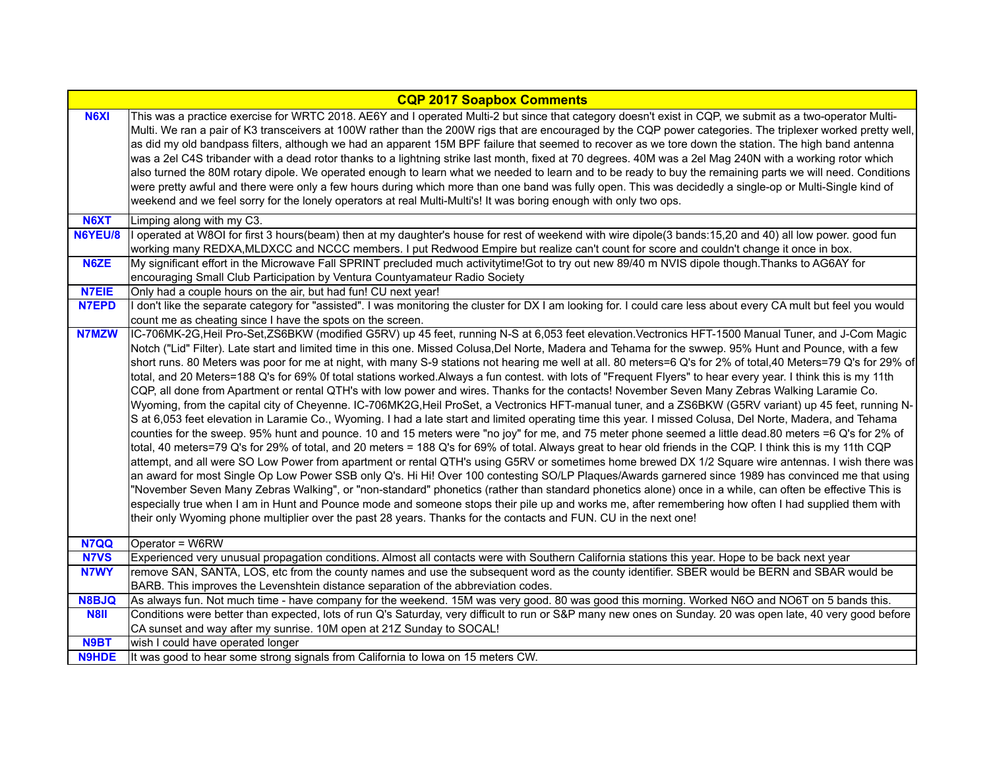| <b>CQP 2017 Soapbox Comments</b> |                                                                                                                                                                                                                                                                                                                                                                                                                                                                                                                                                                                                                                                                                                                                                                                                                                                                                                                                                                                                                                                                                               |
|----------------------------------|-----------------------------------------------------------------------------------------------------------------------------------------------------------------------------------------------------------------------------------------------------------------------------------------------------------------------------------------------------------------------------------------------------------------------------------------------------------------------------------------------------------------------------------------------------------------------------------------------------------------------------------------------------------------------------------------------------------------------------------------------------------------------------------------------------------------------------------------------------------------------------------------------------------------------------------------------------------------------------------------------------------------------------------------------------------------------------------------------|
| <b>N6XI</b>                      | This was a practice exercise for WRTC 2018. AE6Y and I operated Multi-2 but since that category doesn't exist in CQP, we submit as a two-operator Multi-<br>Multi. We ran a pair of K3 transceivers at 100W rather than the 200W rigs that are encouraged by the CQP power categories. The triplexer worked pretty well,<br>as did my old bandpass filters, although we had an apparent 15M BPF failure that seemed to recover as we tore down the station. The high band antenna<br>was a 2el C4S tribander with a dead rotor thanks to a lightning strike last month, fixed at 70 degrees. 40M was a 2el Mag 240N with a working rotor which<br>also turned the 80M rotary dipole. We operated enough to learn what we needed to learn and to be ready to buy the remaining parts we will need. Conditions<br>were pretty awful and there were only a few hours during which more than one band was fully open. This was decidedly a single-op or Multi-Single kind of<br>weekend and we feel sorry for the lonely operators at real Multi-Multi's! It was boring enough with only two ops. |
| N6XT                             | Limping along with my C3.                                                                                                                                                                                                                                                                                                                                                                                                                                                                                                                                                                                                                                                                                                                                                                                                                                                                                                                                                                                                                                                                     |
| N6YEU/8                          | I operated at W8OI for first 3 hours(beam) then at my daughter's house for rest of weekend with wire dipole(3 bands:15,20 and 40) all low power. good fun                                                                                                                                                                                                                                                                                                                                                                                                                                                                                                                                                                                                                                                                                                                                                                                                                                                                                                                                     |
|                                  | working many REDXA,MLDXCC and NCCC members. I put Redwood Empire but realize can't count for score and couldn't change it once in box.                                                                                                                                                                                                                                                                                                                                                                                                                                                                                                                                                                                                                                                                                                                                                                                                                                                                                                                                                        |
| N6ZE                             | My significant effort in the Microwave Fall SPRINT precluded much activitytime!Got to try out new 89/40 m NVIS dipole though. Thanks to AG6AY for                                                                                                                                                                                                                                                                                                                                                                                                                                                                                                                                                                                                                                                                                                                                                                                                                                                                                                                                             |
|                                  | encouraging Small Club Participation by Ventura Countyamateur Radio Society                                                                                                                                                                                                                                                                                                                                                                                                                                                                                                                                                                                                                                                                                                                                                                                                                                                                                                                                                                                                                   |
| <b>N7EIE</b>                     | Only had a couple hours on the air, but had fun! CU next year!                                                                                                                                                                                                                                                                                                                                                                                                                                                                                                                                                                                                                                                                                                                                                                                                                                                                                                                                                                                                                                |
| <b>N7EPD</b>                     | I don't like the separate category for "assisted". I was monitoring the cluster for DX I am looking for. I could care less about every CA mult but feel you would                                                                                                                                                                                                                                                                                                                                                                                                                                                                                                                                                                                                                                                                                                                                                                                                                                                                                                                             |
|                                  | count me as cheating since I have the spots on the screen.                                                                                                                                                                                                                                                                                                                                                                                                                                                                                                                                                                                                                                                                                                                                                                                                                                                                                                                                                                                                                                    |
| <b>N7MZW</b>                     | IC-706MK-2G,Heil Pro-Set,ZS6BKW (modified G5RV) up 45 feet, running N-S at 6,053 feet elevation.Vectronics HFT-1500 Manual Tuner, and J-Com Magic                                                                                                                                                                                                                                                                                                                                                                                                                                                                                                                                                                                                                                                                                                                                                                                                                                                                                                                                             |
|                                  | Notch ("Lid" Filter). Late start and limited time in this one. Missed Colusa,Del Norte, Madera and Tehama for the swwep. 95% Hunt and Pounce, with a few                                                                                                                                                                                                                                                                                                                                                                                                                                                                                                                                                                                                                                                                                                                                                                                                                                                                                                                                      |
|                                  | short runs. 80 Meters was poor for me at night, with many S-9 stations not hearing me well at all. 80 meters=6 Q's for 2% of total,40 Meters=79 Q's for 29% of                                                                                                                                                                                                                                                                                                                                                                                                                                                                                                                                                                                                                                                                                                                                                                                                                                                                                                                                |
|                                  | total, and 20 Meters=188 Q's for 69% Of total stations worked. Always a fun contest. with lots of "Frequent Flyers" to hear every year. I think this is my 11th<br>CQP, all done from Apartment or rental QTH's with low power and wires. Thanks for the contacts! November Seven Many Zebras Walking Laramie Co.                                                                                                                                                                                                                                                                                                                                                                                                                                                                                                                                                                                                                                                                                                                                                                             |
|                                  | Wyoming, from the capital city of Cheyenne. IC-706MK2G, Heil ProSet, a Vectronics HFT-manual tuner, and a ZS6BKW (G5RV variant) up 45 feet, running N-                                                                                                                                                                                                                                                                                                                                                                                                                                                                                                                                                                                                                                                                                                                                                                                                                                                                                                                                        |
|                                  | S at 6,053 feet elevation in Laramie Co., Wyoming. I had a late start and limited operating time this year. I missed Colusa, Del Norte, Madera, and Tehama                                                                                                                                                                                                                                                                                                                                                                                                                                                                                                                                                                                                                                                                                                                                                                                                                                                                                                                                    |
|                                  | counties for the sweep. 95% hunt and pounce. 10 and 15 meters were "no joy" for me, and 75 meter phone seemed a little dead.80 meters =6 Q's for 2% of                                                                                                                                                                                                                                                                                                                                                                                                                                                                                                                                                                                                                                                                                                                                                                                                                                                                                                                                        |
|                                  | total, 40 meters=79 Q's for 29% of total, and 20 meters = 188 Q's for 69% of total. Always great to hear old friends in the CQP. I think this is my 11th CQP                                                                                                                                                                                                                                                                                                                                                                                                                                                                                                                                                                                                                                                                                                                                                                                                                                                                                                                                  |
|                                  | attempt, and all were SO Low Power from apartment or rental QTH's using G5RV or sometimes home brewed DX 1/2 Square wire antennas. I wish there was                                                                                                                                                                                                                                                                                                                                                                                                                                                                                                                                                                                                                                                                                                                                                                                                                                                                                                                                           |
|                                  | an award for most Single Op Low Power SSB only Q's. Hi Hi! Over 100 contesting SO/LP Plaques/Awards garnered since 1989 has convinced me that using                                                                                                                                                                                                                                                                                                                                                                                                                                                                                                                                                                                                                                                                                                                                                                                                                                                                                                                                           |
|                                  | "November Seven Many Zebras Walking", or "non-standard" phonetics (rather than standard phonetics alone) once in a while, can often be effective This is                                                                                                                                                                                                                                                                                                                                                                                                                                                                                                                                                                                                                                                                                                                                                                                                                                                                                                                                      |
|                                  | especially true when I am in Hunt and Pounce mode and someone stops their pile up and works me, after remembering how often I had supplied them with                                                                                                                                                                                                                                                                                                                                                                                                                                                                                                                                                                                                                                                                                                                                                                                                                                                                                                                                          |
|                                  | their only Wyoming phone multiplier over the past 28 years. Thanks for the contacts and FUN. CU in the next one!                                                                                                                                                                                                                                                                                                                                                                                                                                                                                                                                                                                                                                                                                                                                                                                                                                                                                                                                                                              |
|                                  |                                                                                                                                                                                                                                                                                                                                                                                                                                                                                                                                                                                                                                                                                                                                                                                                                                                                                                                                                                                                                                                                                               |
| N7QQ                             | Operator = W6RW                                                                                                                                                                                                                                                                                                                                                                                                                                                                                                                                                                                                                                                                                                                                                                                                                                                                                                                                                                                                                                                                               |
| <b>N7VS</b>                      | Experienced very unusual propagation conditions. Almost all contacts were with Southern California stations this year. Hope to be back next year                                                                                                                                                                                                                                                                                                                                                                                                                                                                                                                                                                                                                                                                                                                                                                                                                                                                                                                                              |
| N7WY                             | remove SAN, SANTA, LOS, etc from the county names and use the subsequent word as the county identifier. SBER would be BERN and SBAR would be                                                                                                                                                                                                                                                                                                                                                                                                                                                                                                                                                                                                                                                                                                                                                                                                                                                                                                                                                  |
|                                  | BARB. This improves the Levenshtein distance separation of the abbreviation codes.                                                                                                                                                                                                                                                                                                                                                                                                                                                                                                                                                                                                                                                                                                                                                                                                                                                                                                                                                                                                            |
| <b>N8BJQ</b>                     | As always fun. Not much time - have company for the weekend. 15M was very good. 80 was good this morning. Worked N6O and NO6T on 5 bands this.                                                                                                                                                                                                                                                                                                                                                                                                                                                                                                                                                                                                                                                                                                                                                                                                                                                                                                                                                |
| <b>N8II</b>                      | Conditions were better than expected, lots of run Q's Saturday, very difficult to run or S&P many new ones on Sunday. 20 was open late, 40 very good before                                                                                                                                                                                                                                                                                                                                                                                                                                                                                                                                                                                                                                                                                                                                                                                                                                                                                                                                   |
|                                  | CA sunset and way after my sunrise. 10M open at 21Z Sunday to SOCAL!                                                                                                                                                                                                                                                                                                                                                                                                                                                                                                                                                                                                                                                                                                                                                                                                                                                                                                                                                                                                                          |
| N9BT                             | wish I could have operated longer                                                                                                                                                                                                                                                                                                                                                                                                                                                                                                                                                                                                                                                                                                                                                                                                                                                                                                                                                                                                                                                             |
| <b>N9HDE</b>                     | It was good to hear some strong signals from California to lowa on 15 meters CW.                                                                                                                                                                                                                                                                                                                                                                                                                                                                                                                                                                                                                                                                                                                                                                                                                                                                                                                                                                                                              |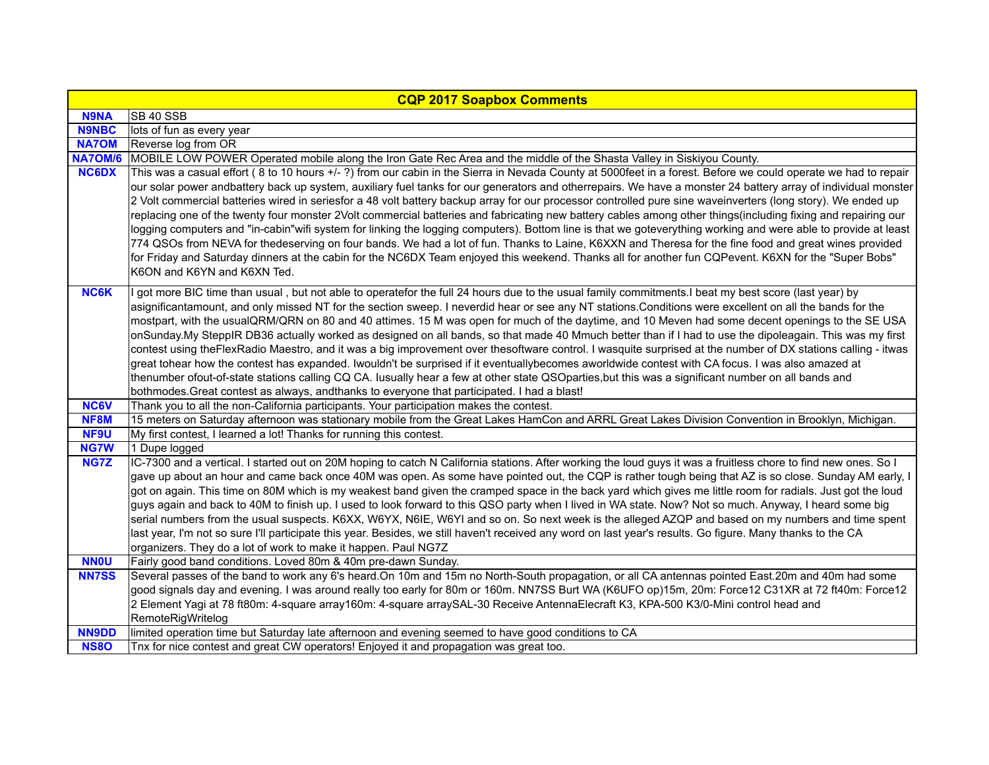| <b>CQP 2017 Soapbox Comments</b> |                                                                                                                                                                                                                                                                                                                                                                                                                                                                                                                                                                                                                                                                                                                                                                                                                                                                                                                                                                                                                                                                                                                                                                                                          |
|----------------------------------|----------------------------------------------------------------------------------------------------------------------------------------------------------------------------------------------------------------------------------------------------------------------------------------------------------------------------------------------------------------------------------------------------------------------------------------------------------------------------------------------------------------------------------------------------------------------------------------------------------------------------------------------------------------------------------------------------------------------------------------------------------------------------------------------------------------------------------------------------------------------------------------------------------------------------------------------------------------------------------------------------------------------------------------------------------------------------------------------------------------------------------------------------------------------------------------------------------|
| <b>N9NA</b>                      | <b>SB 40 SSB</b>                                                                                                                                                                                                                                                                                                                                                                                                                                                                                                                                                                                                                                                                                                                                                                                                                                                                                                                                                                                                                                                                                                                                                                                         |
| <b>N9NBC</b>                     | lots of fun as every year                                                                                                                                                                                                                                                                                                                                                                                                                                                                                                                                                                                                                                                                                                                                                                                                                                                                                                                                                                                                                                                                                                                                                                                |
| <b>NA7OM</b>                     | Reverse log from OR                                                                                                                                                                                                                                                                                                                                                                                                                                                                                                                                                                                                                                                                                                                                                                                                                                                                                                                                                                                                                                                                                                                                                                                      |
| <b>NA7OM/6</b>                   | MOBILE LOW POWER Operated mobile along the Iron Gate Rec Area and the middle of the Shasta Valley in Siskiyou County.                                                                                                                                                                                                                                                                                                                                                                                                                                                                                                                                                                                                                                                                                                                                                                                                                                                                                                                                                                                                                                                                                    |
| <b>NC6DX</b>                     | This was a casual effort (8 to 10 hours +/-?) from our cabin in the Sierra in Nevada County at 5000feet in a forest. Before we could operate we had to repair<br>our solar power andbattery back up system, auxiliary fuel tanks for our generators and otherrepairs. We have a monster 24 battery array of individual monster<br>2 Volt commercial batteries wired in seriesfor a 48 volt battery backup array for our processor controlled pure sine waveinverters (long story). We ended up<br>replacing one of the twenty four monster 2Volt commercial batteries and fabricating new battery cables among other things(including fixing and repairing our<br>logging computers and "in-cabin"wifi system for linking the logging computers). Bottom line is that we goteverything working and were able to provide at least<br>774 QSOs from NEVA for thedeserving on four bands. We had a lot of fun. Thanks to Laine, K6XXN and Theresa for the fine food and great wines provided<br>for Friday and Saturday dinners at the cabin for the NC6DX Team enjoyed this weekend. Thanks all for another fun CQPevent. K6XN for the "Super Bobs"<br>K6ON and K6YN and K6XN Ted.                         |
| <b>NC6K</b>                      | I got more BIC time than usual, but not able to operatefor the full 24 hours due to the usual family commitments.I beat my best score (last year) by<br>asignificantamount, and only missed NT for the section sweep. I neverdid hear or see any NT stations. Conditions were excellent on all the bands for the<br>mostpart, with the usualQRM/QRN on 80 and 40 attimes. 15 M was open for much of the daytime, and 10 Meven had some decent openings to the SE USA<br>onSunday.My SteppIR DB36 actually worked as designed on all bands, so that made 40 Mmuch better than if I had to use the dipoleagain. This was my first<br>contest using theFlexRadio Maestro, and it was a big improvement over thesoftware control. I wasquite surprised at the number of DX stations calling - itwas<br>great tohear how the contest has expanded. Iwouldn't be surprised if it eventuallybecomes aworldwide contest with CA focus. I was also amazed at<br>thenumber ofout-of-state stations calling CQ CA. Iusually hear a few at other state QSOparties, but this was a significant number on all bands and<br>bothmodes. Great contest as always, andthanks to everyone that participated. I had a blast! |
| <b>NC6V</b>                      | Thank you to all the non-California participants. Your participation makes the contest.                                                                                                                                                                                                                                                                                                                                                                                                                                                                                                                                                                                                                                                                                                                                                                                                                                                                                                                                                                                                                                                                                                                  |
| NF8M                             | 15 meters on Saturday afternoon was stationary mobile from the Great Lakes HamCon and ARRL Great Lakes Division Convention in Brooklyn, Michigan.                                                                                                                                                                                                                                                                                                                                                                                                                                                                                                                                                                                                                                                                                                                                                                                                                                                                                                                                                                                                                                                        |
| NF9U                             | My first contest, I learned a lot! Thanks for running this contest.                                                                                                                                                                                                                                                                                                                                                                                                                                                                                                                                                                                                                                                                                                                                                                                                                                                                                                                                                                                                                                                                                                                                      |
| <b>NG7W</b>                      | 1 Dupe logged                                                                                                                                                                                                                                                                                                                                                                                                                                                                                                                                                                                                                                                                                                                                                                                                                                                                                                                                                                                                                                                                                                                                                                                            |
| NG7Z                             | IC-7300 and a vertical. I started out on 20M hoping to catch N California stations. After working the loud guys it was a fruitless chore to find new ones. So I<br>gave up about an hour and came back once 40M was open. As some have pointed out, the CQP is rather tough being that AZ is so close. Sunday AM early, I<br>got on again. This time on 80M which is my weakest band given the cramped space in the back yard which gives me little room for radials. Just got the loud<br>guys again and back to 40M to finish up. I used to look forward to this QSO party when I lived in WA state. Now? Not so much. Anyway, I heard some big<br>serial numbers from the usual suspects. K6XX, W6YX, N6IE, W6YI and so on. So next week is the alleged AZQP and based on my numbers and time spent<br>last year, I'm not so sure I'll participate this year. Besides, we still haven't received any word on last year's results. Go figure. Many thanks to the CA<br>organizers. They do a lot of work to make it happen. Paul NG7Z                                                                                                                                                                  |
| <b>NNOU</b>                      | Fairly good band conditions. Loved 80m & 40m pre-dawn Sunday.                                                                                                                                                                                                                                                                                                                                                                                                                                                                                                                                                                                                                                                                                                                                                                                                                                                                                                                                                                                                                                                                                                                                            |
| <b>NN7SS</b>                     | Several passes of the band to work any 6's heard.On 10m and 15m no North-South propagation, or all CA antennas pointed East.20m and 40m had some<br>good signals day and evening. I was around really too early for 80m or 160m. NN7SS Burt WA (K6UFO op)15m, 20m: Force12 C31XR at 72 ft40m: Force12<br>2 Element Yagi at 78 ft80m: 4-square array160m: 4-square arraySAL-30 Receive AntennaElecraft K3, KPA-500 K3/0-Mini control head and<br>RemoteRigWritelog                                                                                                                                                                                                                                                                                                                                                                                                                                                                                                                                                                                                                                                                                                                                        |
| <b>NN9DD</b>                     | limited operation time but Saturday late afternoon and evening seemed to have good conditions to CA                                                                                                                                                                                                                                                                                                                                                                                                                                                                                                                                                                                                                                                                                                                                                                                                                                                                                                                                                                                                                                                                                                      |
| <b>NS80</b>                      | Tnx for nice contest and great CW operators! Enjoyed it and propagation was great too.                                                                                                                                                                                                                                                                                                                                                                                                                                                                                                                                                                                                                                                                                                                                                                                                                                                                                                                                                                                                                                                                                                                   |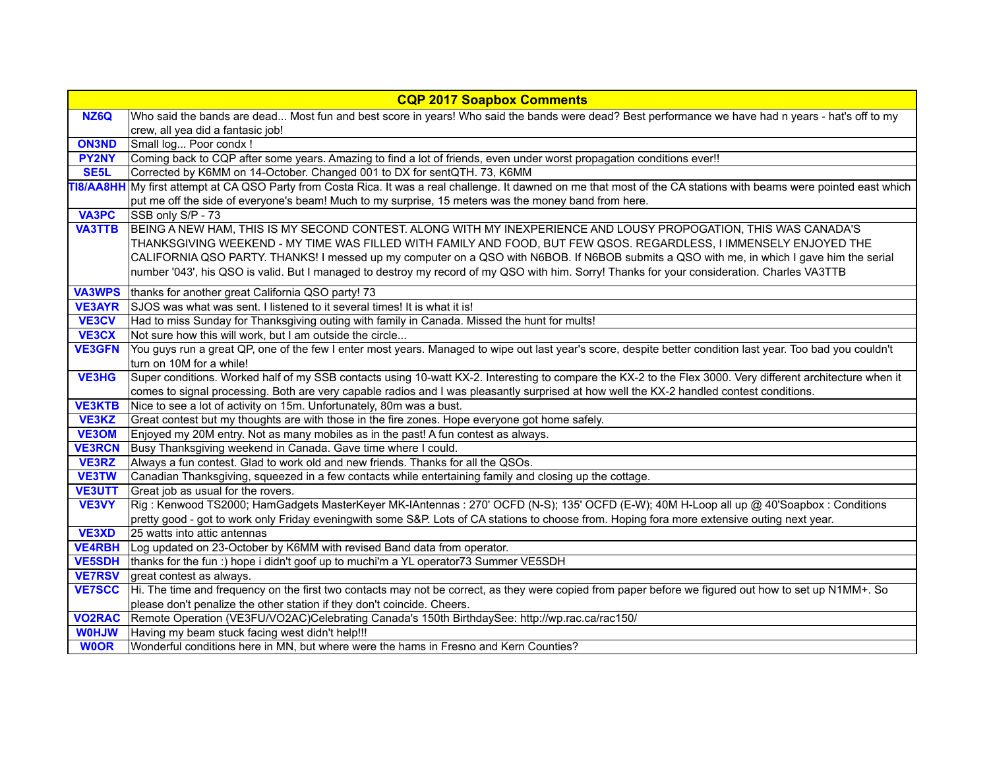|                   | <b>CQP 2017 Soapbox Comments</b>                                                                                                                                                                                                                                            |
|-------------------|-----------------------------------------------------------------------------------------------------------------------------------------------------------------------------------------------------------------------------------------------------------------------------|
| NZ6Q              | Who said the bands are dead Most fun and best score in years! Who said the bands were dead? Best performance we have had n years - hat's off to my                                                                                                                          |
|                   | crew, all yea did a fantasic job!                                                                                                                                                                                                                                           |
| <b>ON3ND</b>      | Small log Poor condx!                                                                                                                                                                                                                                                       |
| <b>PY2NY</b>      | Coming back to CQP after some years. Amazing to find a lot of friends, even under worst propagation conditions ever!!                                                                                                                                                       |
| SE <sub>5</sub> L | Corrected by K6MM on 14-October. Changed 001 to DX for sentQTH. 73, K6MM                                                                                                                                                                                                    |
|                   | 18/AA8HH My first attempt at CA QSO Party from Costa Rica. It was a real challenge. It dawned on me that most of the CA stations with beams were pointed east which<br>put me off the side of everyone's beam! Much to my surprise, 15 meters was the money band from here. |
| <b>VA3PC</b>      | SSB only S/P - 73                                                                                                                                                                                                                                                           |
| <b>VA3TTB</b>     | BEING A NEW HAM, THIS IS MY SECOND CONTEST. ALONG WITH MY INEXPERIENCE AND LOUSY PROPOGATION, THIS WAS CANADA'S                                                                                                                                                             |
|                   | THANKSGIVING WEEKEND - MY TIME WAS FILLED WITH FAMILY AND FOOD, BUT FEW QSOS. REGARDLESS, I IMMENSELY ENJOYED THE                                                                                                                                                           |
|                   | CALIFORNIA QSO PARTY. THANKS! I messed up my computer on a QSO with N6BOB. If N6BOB submits a QSO with me, in which I gave him the serial                                                                                                                                   |
|                   | number '043', his QSO is valid. But I managed to destroy my record of my QSO with him. Sorry! Thanks for your consideration. Charles VA3TTB                                                                                                                                 |
|                   |                                                                                                                                                                                                                                                                             |
| <b>VA3WPS</b>     | thanks for another great California QSO party! 73                                                                                                                                                                                                                           |
| <b>VE3AYR</b>     | SJOS was what was sent. I listened to it several times! It is what it is!                                                                                                                                                                                                   |
| <b>VE3CV</b>      | Had to miss Sunday for Thanksgiving outing with family in Canada. Missed the hunt for mults!                                                                                                                                                                                |
| <b>VE3CX</b>      | Not sure how this will work, but I am outside the circle                                                                                                                                                                                                                    |
| <b>VE3GFN</b>     | You guys run a great QP, one of the few I enter most years. Managed to wipe out last year's score, despite better condition last year. Too bad you couldn't                                                                                                                 |
|                   | turn on 10M for a while!                                                                                                                                                                                                                                                    |
| <b>VE3HG</b>      | Super conditions. Worked half of my SSB contacts using 10-watt KX-2. Interesting to compare the KX-2 to the Flex 3000. Very different architecture when it                                                                                                                  |
|                   | comes to signal processing. Both are very capable radios and I was pleasantly surprised at how well the KX-2 handled contest conditions.                                                                                                                                    |
| <b>VE3KTB</b>     | Nice to see a lot of activity on 15m. Unfortunately, 80m was a bust.                                                                                                                                                                                                        |
| VE3KZ             | Great contest but my thoughts are with those in the fire zones. Hope everyone got home safely.                                                                                                                                                                              |
| <b>VE3OM</b>      | Enjoyed my 20M entry. Not as many mobiles as in the past! A fun contest as always.                                                                                                                                                                                          |
| <b>VE3RCN</b>     | Busy Thanksgiving weekend in Canada. Gave time where I could.                                                                                                                                                                                                               |
| VE3RZ             | Always a fun contest. Glad to work old and new friends. Thanks for all the QSOs.                                                                                                                                                                                            |
| <b>VE3TW</b>      | Canadian Thanksgiving, squeezed in a few contacts while entertaining family and closing up the cottage.                                                                                                                                                                     |
| <b>VE3UTT</b>     | Great job as usual for the rovers.                                                                                                                                                                                                                                          |
| VE3VY             | Rig: Kenwood TS2000; HamGadgets MasterKeyer MK-IAntennas: 270' OCFD (N-S); 135' OCFD (E-W); 40M H-Loop all up @ 40'Soapbox: Conditions                                                                                                                                      |
| <b>VE3XD</b>      | pretty good - got to work only Friday eveningwith some S&P. Lots of CA stations to choose from. Hoping fora more extensive outing next year.<br>25 watts into attic antennas                                                                                                |
| <b>VE4RBH</b>     |                                                                                                                                                                                                                                                                             |
| <b>VE5SDH</b>     | Log updated on 23-October by K6MM with revised Band data from operator.<br>thanks for the fun :) hope i didn't goof up to muchi'm a YL operator73 Summer VE5SDH                                                                                                             |
| <b>VE7RSV</b>     | great contest as always.                                                                                                                                                                                                                                                    |
| <b>VE7SCC</b>     | Hi. The time and frequency on the first two contacts may not be correct, as they were copied from paper before we figured out how to set up N1MM+. So                                                                                                                       |
|                   | please don't penalize the other station if they don't coincide. Cheers.                                                                                                                                                                                                     |
| <b>VO2RAC</b>     | Remote Operation (VE3FU/VO2AC)Celebrating Canada's 150th BirthdaySee: http://wp.rac.ca/rac150/                                                                                                                                                                              |
| <b>WUHOW</b>      | Having my beam stuck facing west didn't help!!!                                                                                                                                                                                                                             |
| <b>WOOR</b>       | Wonderful conditions here in MN, but where were the hams in Fresno and Kern Counties?                                                                                                                                                                                       |
|                   |                                                                                                                                                                                                                                                                             |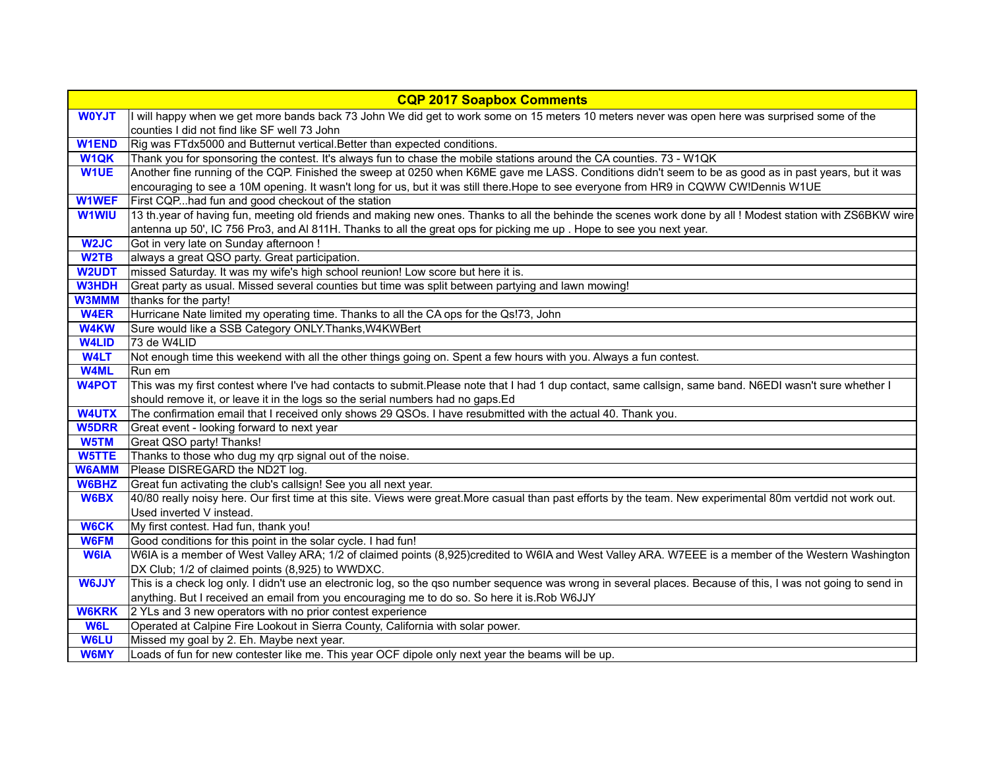|                   | <b>CQP 2017 Soapbox Comments</b>                                                                                                                              |
|-------------------|---------------------------------------------------------------------------------------------------------------------------------------------------------------|
| <b>WOYJT</b>      | I will happy when we get more bands back 73 John We did get to work some on 15 meters 10 meters never was open here was surprised some of the                 |
|                   | counties I did not find like SF well 73 John                                                                                                                  |
| <b>W1END</b>      | Rig was FTdx5000 and Butternut vertical. Better than expected conditions.                                                                                     |
| <b>W1QK</b>       | Thank you for sponsoring the contest. It's always fun to chase the mobile stations around the CA counties. 73 - W1QK                                          |
| <b>W1UE</b>       | Another fine running of the CQP. Finished the sweep at 0250 when K6ME gave me LASS. Conditions didn't seem to be as good as in past years, but it was         |
|                   | encouraging to see a 10M opening. It wasn't long for us, but it was still there. Hope to see everyone from HR9 in CQWW CW!Dennis W1UE                         |
| <b>W1WEF</b>      | First CQPhad fun and good checkout of the station                                                                                                             |
| <b>W1WIU</b>      | 13 th.year of having fun, meeting old friends and making new ones. Thanks to all the behinde the scenes work done by all ! Modest station with ZS6BKW wire    |
|                   | antenna up 50', IC 756 Pro3, and AI 811H. Thanks to all the great ops for picking me up. Hope to see you next year.                                           |
| W <sub>2JC</sub>  | Got in very late on Sunday afternoon !                                                                                                                        |
| W <sub>2</sub> TB | always a great QSO party. Great participation.                                                                                                                |
| <b>W2UDT</b>      | missed Saturday. It was my wife's high school reunion! Low score but here it is.                                                                              |
| <b>W3HDH</b>      | Great party as usual. Missed several counties but time was split between partying and lawn mowing!                                                            |
| <b>W3MMM</b>      | thanks for the party!                                                                                                                                         |
| <b>W4ER</b>       | Hurricane Nate limited my operating time. Thanks to all the CA ops for the Qs!73, John                                                                        |
| <b>W4KW</b>       | Sure would like a SSB Category ONLY. Thanks, W4KWBert                                                                                                         |
| <b>W4LID</b>      | 73 de W4LID                                                                                                                                                   |
| <b>W4LT</b>       | Not enough time this weekend with all the other things going on. Spent a few hours with you. Always a fun contest.                                            |
| <b>W4ML</b>       | Run em                                                                                                                                                        |
| <b>W4POT</b>      | This was my first contest where I've had contacts to submit.Please note that I had 1 dup contact, same callsign, same band. N6EDI wasn't sure whether I       |
|                   | should remove it, or leave it in the logs so the serial numbers had no gaps.Ed                                                                                |
| <b>W4UTX</b>      | The confirmation email that I received only shows 29 QSOs. I have resubmitted with the actual 40. Thank you.                                                  |
| <b>W5DRR</b>      | Great event - looking forward to next year                                                                                                                    |
| W5TM              | Great QSO party! Thanks!                                                                                                                                      |
| W5TTE             | Thanks to those who dug my qrp signal out of the noise.                                                                                                       |
| <b>W6AMM</b>      | Please DISREGARD the ND2T log.                                                                                                                                |
| <b>W6BHZ</b>      | Great fun activating the club's callsign! See you all next year.                                                                                              |
| W6BX              | 40/80 really noisy here. Our first time at this site. Views were great. More casual than past efforts by the team. New experimental 80m vertdid not work out. |
|                   | Used inverted V instead.                                                                                                                                      |
| <b>W6CK</b>       | My first contest. Had fun, thank you!                                                                                                                         |
| <b>W6FM</b>       | Good conditions for this point in the solar cycle. I had fun!                                                                                                 |
| <b>W6IA</b>       | W6IA is a member of West Valley ARA; 1/2 of claimed points (8,925)credited to W6IA and West Valley ARA. W7EEE is a member of the Western Washington           |
|                   | DX Club; 1/2 of claimed points (8,925) to WWDXC.                                                                                                              |
| <b>W6JJY</b>      | This is a check log only. I didn't use an electronic log, so the qso number sequence was wrong in several places. Because of this, I was not going to send in |
|                   | anything. But I received an email from you encouraging me to do so. So here it is Rob W6JJY                                                                   |
| <b>W6KRK</b>      | 2 YLs and 3 new operators with no prior contest experience                                                                                                    |
| <b>W6L</b>        | Operated at Calpine Fire Lookout in Sierra County, California with solar power.                                                                               |
| <b>W6LU</b>       | Missed my goal by 2. Eh. Maybe next year.                                                                                                                     |
| <b>W6MY</b>       | Loads of fun for new contester like me. This year OCF dipole only next year the beams will be up.                                                             |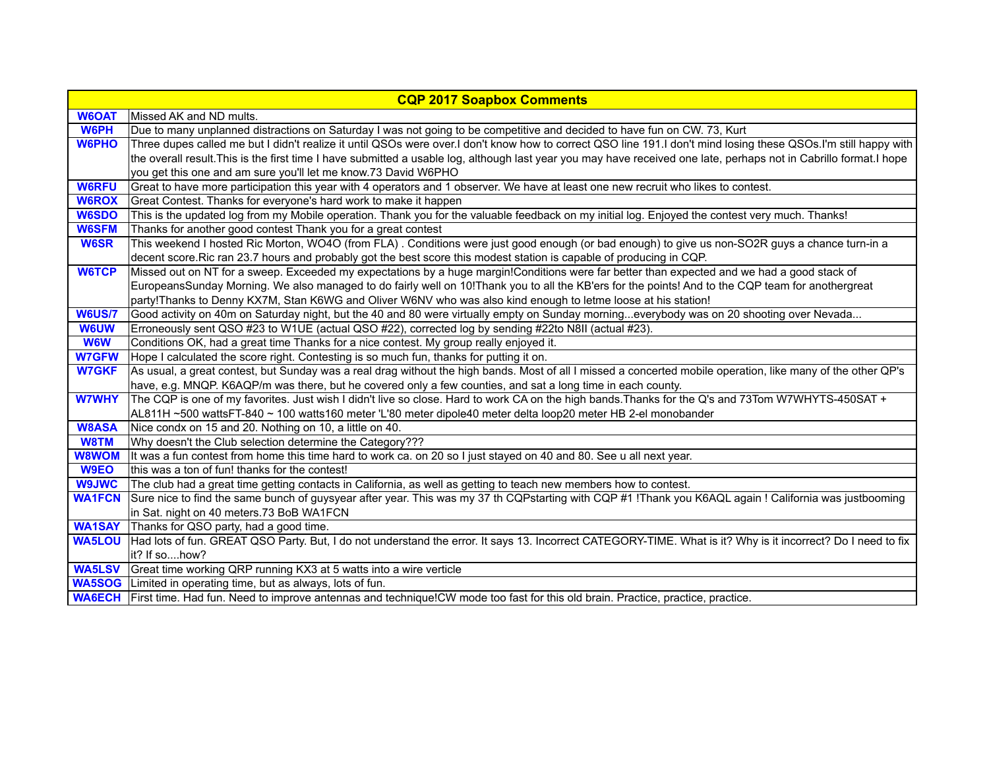| <b>CQP 2017 Soapbox Comments</b> |                                                                                                                                                                     |  |
|----------------------------------|---------------------------------------------------------------------------------------------------------------------------------------------------------------------|--|
| <b>W6OAT</b>                     | Missed AK and ND mults.                                                                                                                                             |  |
| <b>W6PH</b>                      | Due to many unplanned distractions on Saturday I was not going to be competitive and decided to have fun on CW. 73, Kurt                                            |  |
| <b>W6PHO</b>                     | Three dupes called me but I didn't realize it until QSOs were over.I don't know how to correct QSO line 191.I don't mind losing these QSOs.I'm still happy with     |  |
|                                  | the overall result. This is the first time I have submitted a usable log, although last year you may have received one late, perhaps not in Cabrillo format. I hope |  |
|                                  | you get this one and am sure you'll let me know.73 David W6PHO                                                                                                      |  |
| <b>W6RFU</b>                     | Great to have more participation this year with 4 operators and 1 observer. We have at least one new recruit who likes to contest.                                  |  |
| <b>W6ROX</b>                     | Great Contest. Thanks for everyone's hard work to make it happen                                                                                                    |  |
| <b>W6SDO</b>                     | This is the updated log from my Mobile operation. Thank you for the valuable feedback on my initial log. Enjoyed the contest very much. Thanks!                     |  |
| <b>W6SFM</b>                     | Thanks for another good contest Thank you for a great contest                                                                                                       |  |
| <b>W6SR</b>                      | This weekend I hosted Ric Morton, WO4O (from FLA). Conditions were just good enough (or bad enough) to give us non-SO2R guys a chance turn-in a                     |  |
|                                  | decent score. Ric ran 23.7 hours and probably got the best score this modest station is capable of producing in CQP.                                                |  |
| <b>W6TCP</b>                     | Missed out on NT for a sweep. Exceeded my expectations by a huge margin!Conditions were far better than expected and we had a good stack of                         |  |
|                                  | EuropeansSunday Morning. We also managed to do fairly well on 10! Thank you to all the KB'ers for the points! And to the CQP team for anothergreat                  |  |
|                                  | party!Thanks to Denny KX7M, Stan K6WG and Oliver W6NV who was also kind enough to letme loose at his station!                                                       |  |
| <b>W6US/7</b>                    | Good activity on 40m on Saturday night, but the 40 and 80 were virtually empty on Sunday morningeverybody was on 20 shooting over Nevada                            |  |
| <b>W6UW</b>                      | Erroneously sent QSO #23 to W1UE (actual QSO #22), corrected log by sending #22to N8II (actual #23)                                                                 |  |
| <b>W6W</b>                       | Conditions OK, had a great time Thanks for a nice contest. My group really enjoyed it.                                                                              |  |
| <b>W7GFW</b>                     | Hope I calculated the score right. Contesting is so much fun, thanks for putting it on.                                                                             |  |
| <b>W7GKF</b>                     | As usual, a great contest, but Sunday was a real drag without the high bands. Most of all I missed a concerted mobile operation, like many of the other QP's        |  |
|                                  | have, e.g. MNQP. K6AQP/m was there, but he covered only a few counties, and sat a long time in each county.                                                         |  |
| <b>W7WHY</b>                     | The CQP is one of my favorites. Just wish I didn't live so close. Hard to work CA on the high bands. Thanks for the Q's and 73Tom W7WHYTS-450SAT +                  |  |
|                                  | AL811H ~500 wattsFT-840 ~ 100 watts160 meter 'L'80 meter dipole40 meter delta loop20 meter HB 2-el monobander                                                       |  |
| <b>W8ASA</b>                     | Nice condx on 15 and 20. Nothing on 10, a little on 40.                                                                                                             |  |
| W8TM                             | Why doesn't the Club selection determine the Category???                                                                                                            |  |
| <b>W8WOM</b>                     | It was a fun contest from home this time hard to work ca. on 20 so I just stayed on 40 and 80. See u all next year.                                                 |  |
| W9EO                             | this was a ton of fun! thanks for the contest!                                                                                                                      |  |
| <b>W9JWC</b>                     | The club had a great time getting contacts in California, as well as getting to teach new members how to contest.                                                   |  |
| <b>WA1FCN</b>                    | Sure nice to find the same bunch of guysyear after year. This was my 37 th CQPstarting with CQP #1 !Thank you K6AQL again ! California was justbooming              |  |
|                                  | in Sat. night on 40 meters.73 BoB WA1FCN                                                                                                                            |  |
| <b>WA1SAY</b>                    | Thanks for QSO party, had a good time.                                                                                                                              |  |
| <b>WA5LOU</b>                    | Had lots of fun. GREAT QSO Party. But, I do not understand the error. It says 13. Incorrect CATEGORY-TIME. What is it? Why is it incorrect? Do I need to fix        |  |
|                                  | it? If sohow?                                                                                                                                                       |  |
|                                  | <b>WA5LSV</b> Great time working QRP running KX3 at 5 watts into a wire verticle                                                                                    |  |
|                                  | <b>WA5SOG</b> Limited in operating time, but as always, lots of fun.                                                                                                |  |
|                                  | <b>WA6ECH</b> First time. Had fun. Need to improve antennas and technique!CW mode too fast for this old brain. Practice, practice, practice.                        |  |